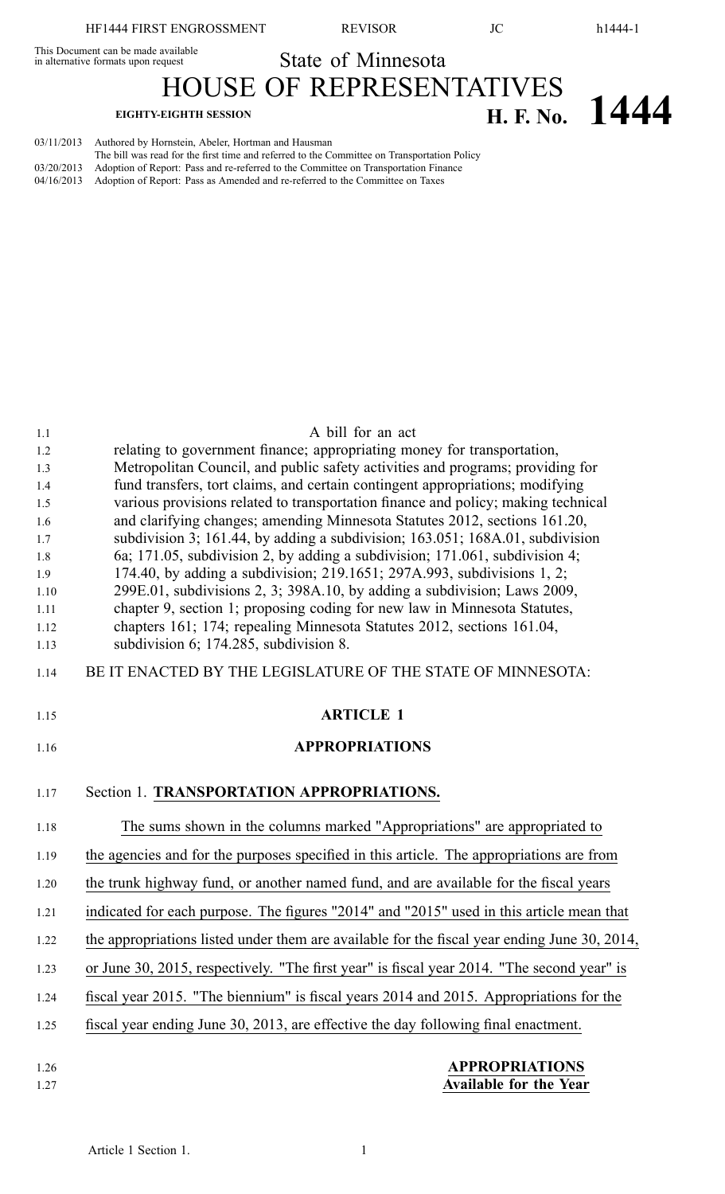This Document can be made available<br>in alternative formats upon request

State of Minnesota

HOUSE OF REPRESENTATIVES **EIGHTY-EIGHTH SESSION EIGHTY-EIGHTH SESSION H. F. No. 1444** 

| 03/11/2013 | Authored by Hornstein, Abeler, Hortman and Hausman                                               |
|------------|--------------------------------------------------------------------------------------------------|
|            | The bill was read for the first time and referred to the Committee on Transportation Policy      |
|            | $03/20/2013$ Adoption of Report: Pass and re-referred to the Committee on Transportation Finance |
|            | 04/16/2013 Adoption of Report: Pass as Amended and re-referred to the Committee on Taxes         |

| 1.1          | A bill for an act                                                                                                                                           |
|--------------|-------------------------------------------------------------------------------------------------------------------------------------------------------------|
| 1.2          | relating to government finance; appropriating money for transportation,                                                                                     |
| 1.3          | Metropolitan Council, and public safety activities and programs; providing for                                                                              |
| 1.4          | fund transfers, tort claims, and certain contingent appropriations; modifying                                                                               |
| 1.5          | various provisions related to transportation finance and policy; making technical                                                                           |
| 1.6<br>1.7   | and clarifying changes; amending Minnesota Statutes 2012, sections 161.20,<br>subdivision 3; 161.44, by adding a subdivision; 163.051; 168A.01, subdivision |
| 1.8          | 6a; 171.05, subdivision 2, by adding a subdivision; 171.061, subdivision 4;                                                                                 |
| 1.9          | 174.40, by adding a subdivision; 219.1651; 297A.993, subdivisions 1, 2;                                                                                     |
| 1.10         | 299E.01, subdivisions 2, 3; 398A.10, by adding a subdivision; Laws 2009,                                                                                    |
| 1.11         | chapter 9, section 1; proposing coding for new law in Minnesota Statutes,                                                                                   |
| 1.12         | chapters 161; 174; repealing Minnesota Statutes 2012, sections 161.04,                                                                                      |
| 1.13         | subdivision 6; 174.285, subdivision 8.                                                                                                                      |
| 1.14         | BE IT ENACTED BY THE LEGISLATURE OF THE STATE OF MINNESOTA:                                                                                                 |
| 1.15         | <b>ARTICLE 1</b>                                                                                                                                            |
| 1.16         | <b>APPROPRIATIONS</b>                                                                                                                                       |
| 1.17         | Section 1. TRANSPORTATION APPROPRIATIONS.                                                                                                                   |
| 1.18         | The sums shown in the columns marked "Appropriations" are appropriated to                                                                                   |
| 1.19         | the agencies and for the purposes specified in this article. The appropriations are from                                                                    |
| 1.20         | the trunk highway fund, or another named fund, and are available for the fiscal years                                                                       |
| 1.21         | indicated for each purpose. The figures "2014" and "2015" used in this article mean that                                                                    |
| 1.22         | the appropriations listed under them are available for the fiscal year ending June 30, 2014,                                                                |
| 1.23         | or June 30, 2015, respectively. "The first year" is fiscal year 2014. "The second year" is                                                                  |
| 1.24         | fiscal year 2015. "The biennium" is fiscal years 2014 and 2015. Appropriations for the                                                                      |
| 1.25         | fiscal year ending June 30, 2013, are effective the day following final enactment.                                                                          |
| 1.26<br>1.27 | <b>APPROPRIATIONS</b><br>Available for the Year                                                                                                             |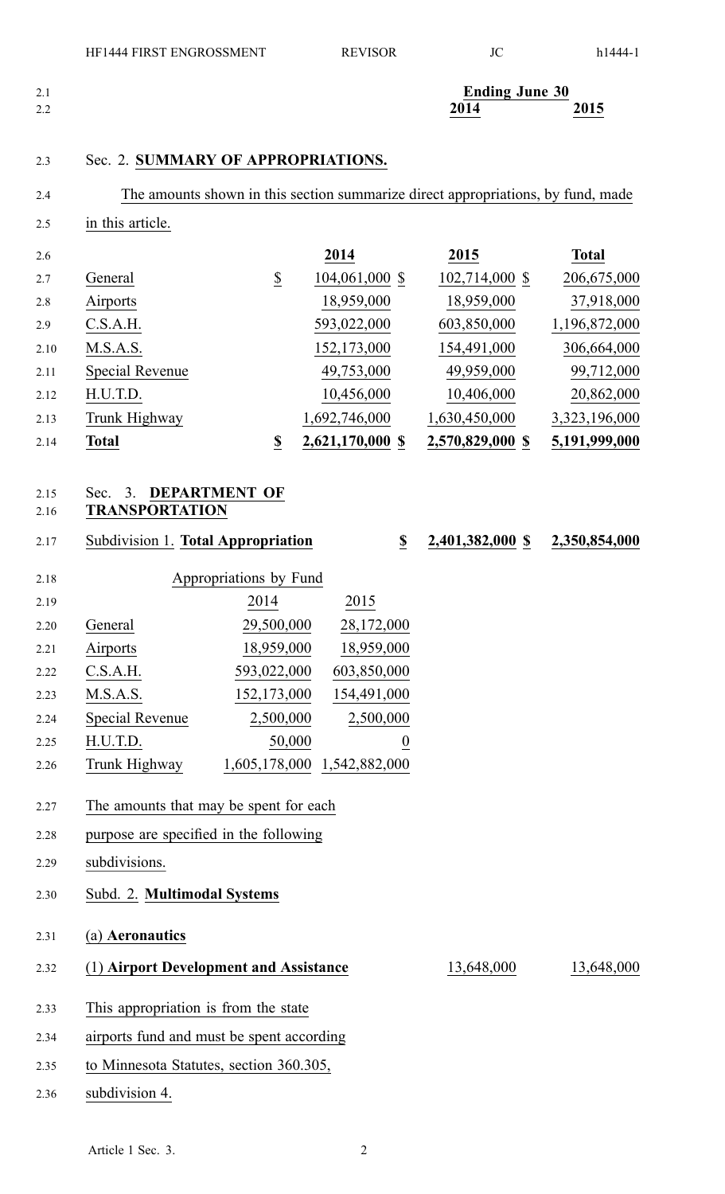| 2.1 | <b>Ending June 30</b> |      |
|-----|-----------------------|------|
| 2.2 | 2014                  | 2015 |

## 2.3 Sec. 2. **SUMMARY OF APPROPRIATIONS.**

| The amounts shown in this section summarize direct appropriations, by fund, made |
|----------------------------------------------------------------------------------|
|                                                                                  |

2.5 in this article.

| 2.6  |                 |                          | 2014             | 2015             | <b>Total</b>  |
|------|-----------------|--------------------------|------------------|------------------|---------------|
| 2.7  | General         | $\overline{\mathcal{E}}$ | 104,061,000 \$   | 102,714,000 \$   | 206,675,000   |
| 2.8  | Airports        |                          | 18,959,000       | 18,959,000       | 37,918,000    |
| 2.9  | C.S.A.H.        |                          | 593,022,000      | 603,850,000      | 1,196,872,000 |
| 2.10 | M.S.A.S.        |                          | 152,173,000      | 154,491,000      | 306,664,000   |
| 2.11 | Special Revenue |                          | 49,753,000       | 49,959,000       | 99,712,000    |
| 2.12 | H.U.T.D.        |                          | 10,456,000       | 10,406,000       | 20,862,000    |
| 2.13 | Trunk Highway   |                          | 1,692,746,000    | 1,630,450,000    | 3,323,196,000 |
| 2.14 | <b>Total</b>    | \$                       | 2,621,170,000 \$ | 2,570,829,000 \$ | 5,191,999,000 |

# 2.15 Sec. 3. **DEPARTMENT OF**

# 2.16 **TRANSPORTATION**

2.17 Subdivision 1. **Total Appropriation \$ 2,401,382,000 \$ 2,350,854,000**

| 2.18 |                 | Appropriations by Fund |                  |
|------|-----------------|------------------------|------------------|
| 2.19 |                 | 2014                   | 2015             |
| 2.20 | General         | 29,500,000             | 28,172,000       |
| 2.21 | Airports        | 18,959,000             | 18,959,000       |
| 2.22 | C.S.A.H.        | 593,022,000            | 603,850,000      |
| 2.23 | M.S.A.S.        | 152,173,000            | 154,491,000      |
| 2.24 | Special Revenue | 2,500,000              | 2,500,000        |
| 2.25 | H.U.T.D.        | 50,000                 | $\boldsymbol{0}$ |
| 2.26 | Trunk Highway   | 1,605,178,000          | 1,542,882,000    |

# 2.27 The amounts that may be spen<sup>t</sup> for each

- 2.28 purpose are specified in the following
- 2.29 subdivisions.
- 2.30 Subd. 2. **Multimodal Systems**
- 2.31 (a) **Aeronautics**
- 2.32 (1) **Airport Development and Assistance** 13,648,000 13,648,000
- 2.33 This appropriation is from the state
- 2.34 airports fund and must be spen<sup>t</sup> according
- 2.35 to Minnesota Statutes, section 360.305,
- 2.36 subdivision 4.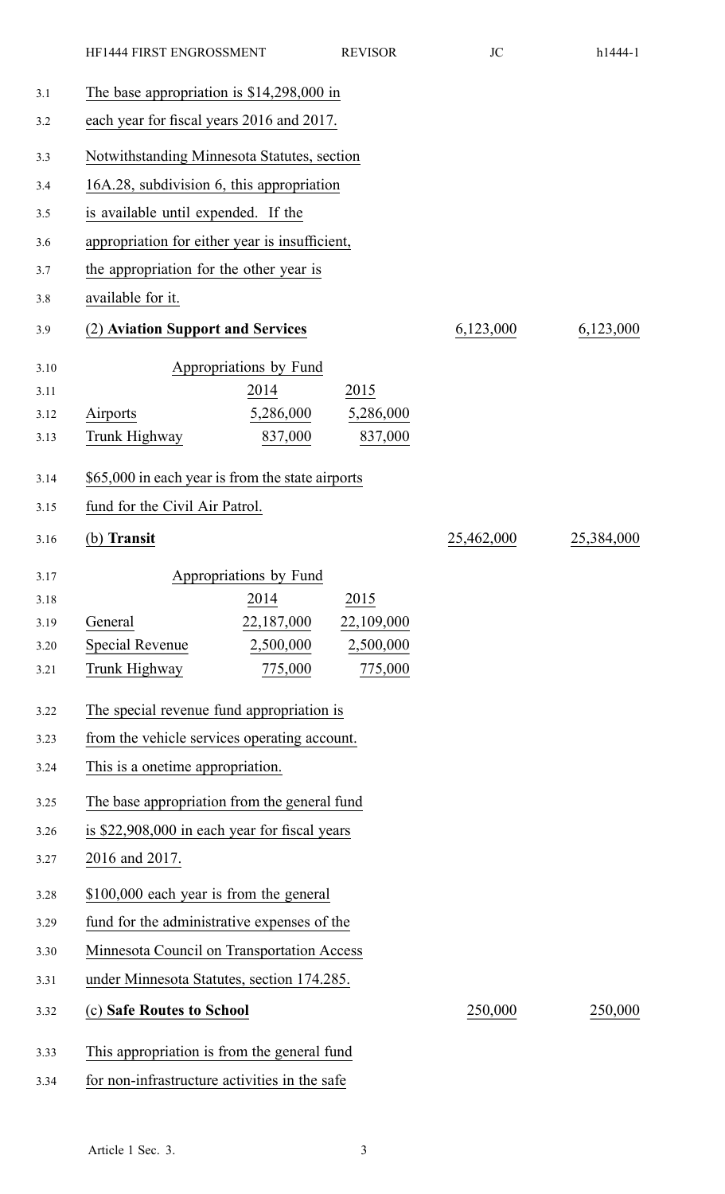|      | HF1444 FIRST ENGROSSMENT                         |                        | <b>REVISOR</b> | JC         | h1444-1    |
|------|--------------------------------------------------|------------------------|----------------|------------|------------|
| 3.1  | The base appropriation is \$14,298,000 in        |                        |                |            |            |
| 3.2  | each year for fiscal years 2016 and 2017.        |                        |                |            |            |
| 3.3  | Notwithstanding Minnesota Statutes, section      |                        |                |            |            |
| 3.4  | 16A.28, subdivision 6, this appropriation        |                        |                |            |            |
| 3.5  | is available until expended. If the              |                        |                |            |            |
| 3.6  | appropriation for either year is insufficient,   |                        |                |            |            |
| 3.7  | the appropriation for the other year is          |                        |                |            |            |
| 3.8  | available for it.                                |                        |                |            |            |
| 3.9  | (2) Aviation Support and Services                |                        |                | 6,123,000  | 6,123,000  |
| 3.10 |                                                  | Appropriations by Fund |                |            |            |
| 3.11 |                                                  | 2014                   | 2015           |            |            |
| 3.12 | Airports                                         | 5,286,000              | 5,286,000      |            |            |
| 3.13 | Trunk Highway                                    | 837,000                | 837,000        |            |            |
| 3.14 | \$65,000 in each year is from the state airports |                        |                |            |            |
| 3.15 | fund for the Civil Air Patrol.                   |                        |                |            |            |
| 3.16 | (b) Transit                                      |                        |                | 25,462,000 | 25,384,000 |
| 3.17 |                                                  | Appropriations by Fund |                |            |            |
| 3.18 |                                                  | 2014                   | 2015           |            |            |
| 3.19 | General                                          | 22,187,000             | 22,109,000     |            |            |
| 3.20 | <b>Special Revenue</b>                           | 2,500,000              | 2,500,000      |            |            |
| 3.21 | Trunk Highway                                    | 775,000                | 775,000        |            |            |
| 3.22 | The special revenue fund appropriation is        |                        |                |            |            |
| 3.23 | from the vehicle services operating account.     |                        |                |            |            |
| 3.24 | This is a onetime appropriation.                 |                        |                |            |            |
| 3.25 | The base appropriation from the general fund     |                        |                |            |            |
| 3.26 | is \$22,908,000 in each year for fiscal years    |                        |                |            |            |
| 3.27 | 2016 and 2017.                                   |                        |                |            |            |
| 3.28 | \$100,000 each year is from the general          |                        |                |            |            |
| 3.29 | fund for the administrative expenses of the      |                        |                |            |            |
| 3.30 | Minnesota Council on Transportation Access       |                        |                |            |            |
| 3.31 | under Minnesota Statutes, section 174.285.       |                        |                |            |            |
| 3.32 | (c) Safe Routes to School                        |                        |                | 250,000    | 250,000    |
| 3.33 | This appropriation is from the general fund      |                        |                |            |            |
| 3.34 | for non-infrastructure activities in the safe    |                        |                |            |            |
|      |                                                  |                        |                |            |            |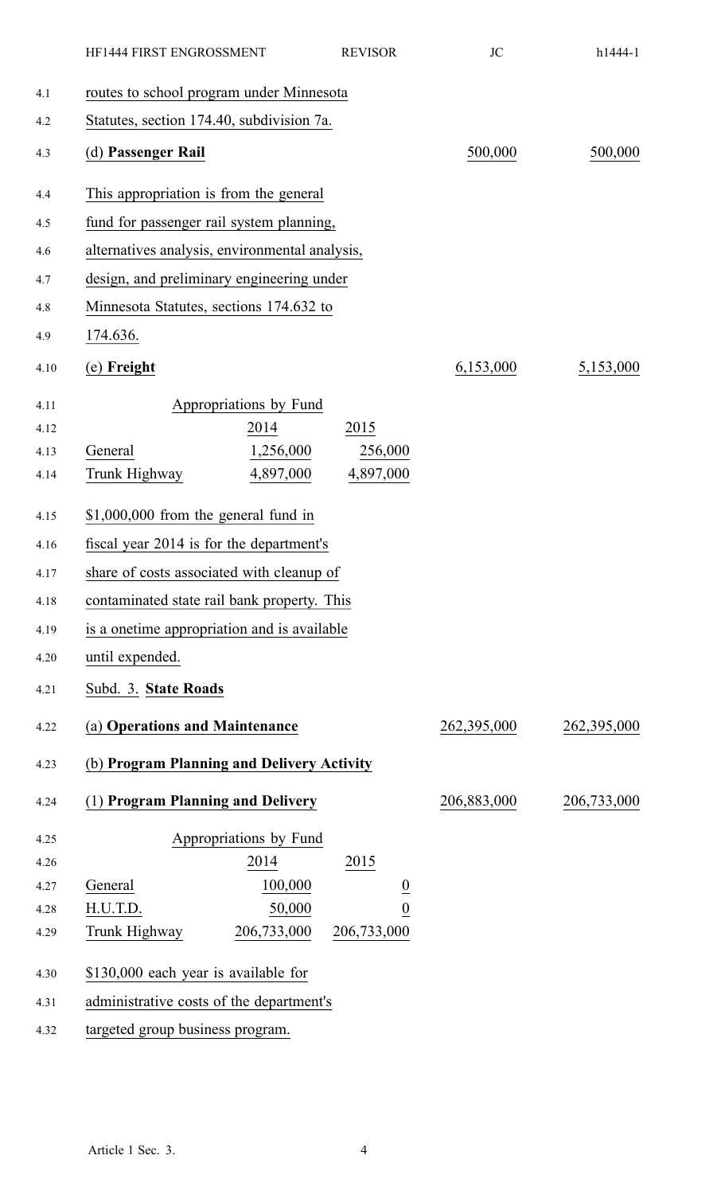|      | HF1444 FIRST ENGROSSMENT                       |                        | <b>REVISOR</b> | JC          | h1444-1     |
|------|------------------------------------------------|------------------------|----------------|-------------|-------------|
| 4.1  | routes to school program under Minnesota       |                        |                |             |             |
| 4.2  | Statutes, section 174.40, subdivision 7a.      |                        |                |             |             |
| 4.3  | (d) Passenger Rail                             |                        |                | 500,000     | 500,000     |
| 4.4  | This appropriation is from the general         |                        |                |             |             |
| 4.5  | fund for passenger rail system planning,       |                        |                |             |             |
| 4.6  | alternatives analysis, environmental analysis, |                        |                |             |             |
| 4.7  | design, and preliminary engineering under      |                        |                |             |             |
| 4.8  | Minnesota Statutes, sections 174.632 to        |                        |                |             |             |
| 4.9  | 174.636.                                       |                        |                |             |             |
| 4.10 | (e) Freight                                    |                        |                | 6,153,000   | 5,153,000   |
| 4.11 |                                                | Appropriations by Fund |                |             |             |
| 4.12 |                                                | 2014                   | 2015           |             |             |
| 4.13 | General                                        | 1,256,000              | 256,000        |             |             |
| 4.14 | Trunk Highway                                  | 4,897,000              | 4,897,000      |             |             |
| 4.15 | $$1,000,000$ from the general fund in          |                        |                |             |             |
| 4.16 | fiscal year 2014 is for the department's       |                        |                |             |             |
| 4.17 | share of costs associated with cleanup of      |                        |                |             |             |
| 4.18 | contaminated state rail bank property. This    |                        |                |             |             |
| 4.19 | is a onetime appropriation and is available    |                        |                |             |             |
| 4.20 | until expended.                                |                        |                |             |             |
| 4.21 | Subd. 3. State Roads                           |                        |                |             |             |
| 4.22 | (a) Operations and Maintenance                 |                        |                | 262,395,000 | 262,395,000 |
| 4.23 | (b) Program Planning and Delivery Activity     |                        |                |             |             |
| 4.24 | (1) Program Planning and Delivery              |                        |                | 206,883,000 | 206,733,000 |
| 4.25 |                                                | Appropriations by Fund |                |             |             |
| 4.26 |                                                | 2014                   | 2015           |             |             |
| 4.27 | General                                        | 100,000                |                |             |             |
| 4.28 | H.U.T.D.                                       | 50,000                 | $\frac{0}{0}$  |             |             |
| 4.29 | Trunk Highway                                  | 206,733,000            | 206,733,000    |             |             |
| 4.30 | \$130,000 each year is available for           |                        |                |             |             |
| 4.31 | administrative costs of the department's       |                        |                |             |             |
| 4.32 | targeted group business program.               |                        |                |             |             |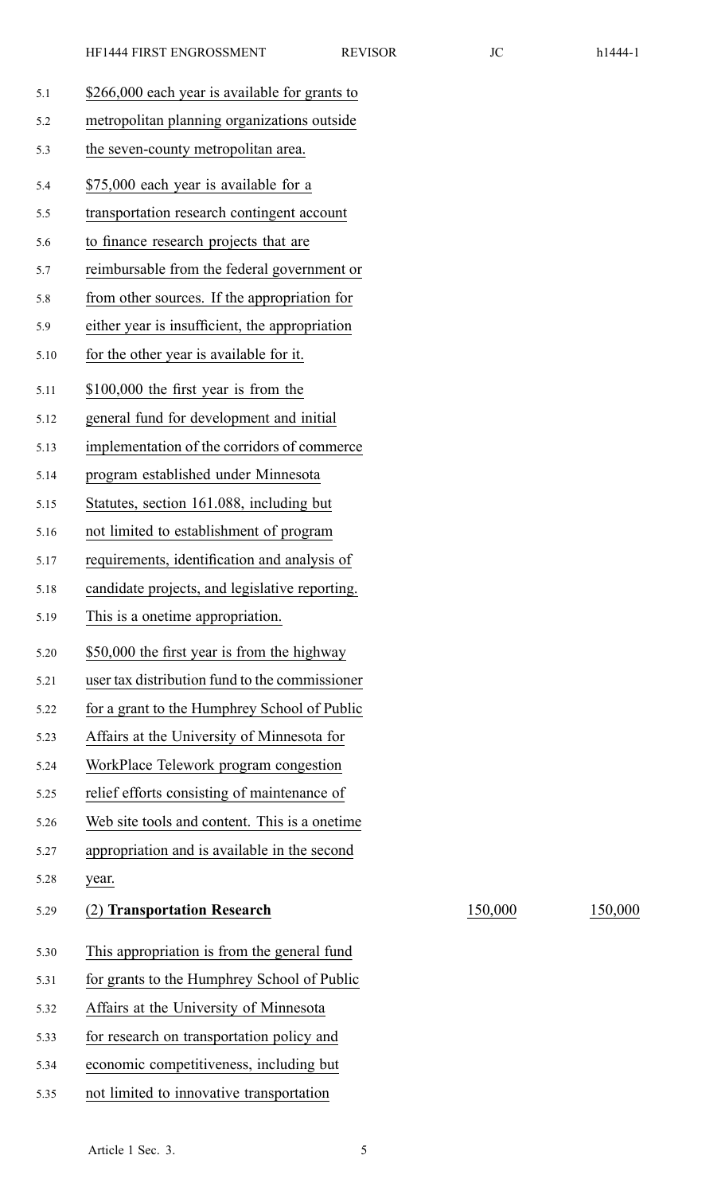| 5.1  | \$266,000 each year is available for grants to |         |         |
|------|------------------------------------------------|---------|---------|
| 5.2  | metropolitan planning organizations outside    |         |         |
| 5.3  | the seven-county metropolitan area.            |         |         |
| 5.4  | \$75,000 each year is available for a          |         |         |
| 5.5  | transportation research contingent account     |         |         |
| 5.6  | to finance research projects that are          |         |         |
| 5.7  | reimbursable from the federal government or    |         |         |
| 5.8  | from other sources. If the appropriation for   |         |         |
| 5.9  | either year is insufficient, the appropriation |         |         |
| 5.10 | for the other year is available for it.        |         |         |
| 5.11 | \$100,000 the first year is from the           |         |         |
| 5.12 | general fund for development and initial       |         |         |
| 5.13 | implementation of the corridors of commerce    |         |         |
| 5.14 | program established under Minnesota            |         |         |
| 5.15 | Statutes, section 161.088, including but       |         |         |
| 5.16 | not limited to establishment of program        |         |         |
| 5.17 | requirements, identification and analysis of   |         |         |
| 5.18 | candidate projects, and legislative reporting. |         |         |
| 5.19 | This is a onetime appropriation.               |         |         |
| 5.20 | \$50,000 the first year is from the highway    |         |         |
| 5.21 | user tax distribution fund to the commissioner |         |         |
| 5.22 | for a grant to the Humphrey School of Public   |         |         |
| 5.23 | Affairs at the University of Minnesota for     |         |         |
| 5.24 | WorkPlace Telework program congestion          |         |         |
| 5.25 | relief efforts consisting of maintenance of    |         |         |
| 5.26 | Web site tools and content. This is a onetime. |         |         |
| 5.27 | appropriation and is available in the second   |         |         |
| 5.28 | year.                                          |         |         |
| 5.29 | (2) Transportation Research                    | 150,000 | 150,000 |
| 5.30 | This appropriation is from the general fund    |         |         |
| 5.31 | for grants to the Humphrey School of Public    |         |         |
| 5.32 | Affairs at the University of Minnesota         |         |         |
| 5.33 | for research on transportation policy and      |         |         |
| 5.34 | economic competitiveness, including but        |         |         |
| 5.35 | not limited to innovative transportation       |         |         |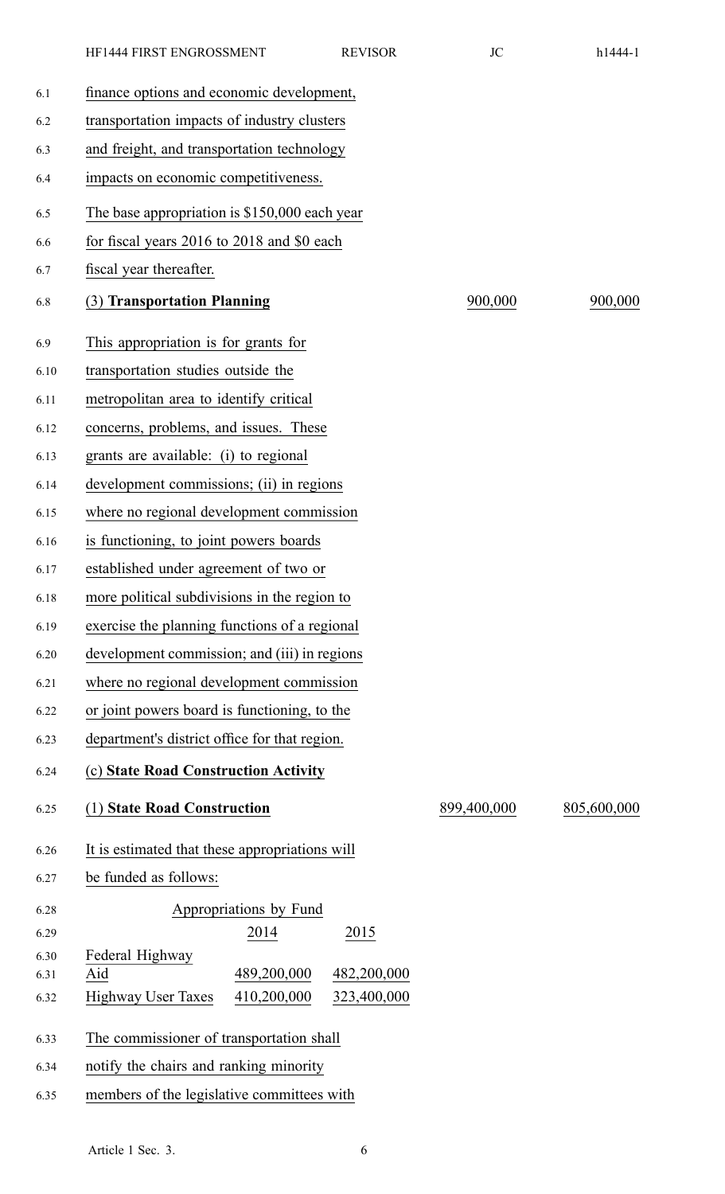| 6.1          | finance options and economic development,               |             |             |  |
|--------------|---------------------------------------------------------|-------------|-------------|--|
| 6.2          | transportation impacts of industry clusters             |             |             |  |
| 6.3          | and freight, and transportation technology              |             |             |  |
| 6.4          | impacts on economic competitiveness.                    |             |             |  |
| 6.5          | The base appropriation is \$150,000 each year           |             |             |  |
| 6.6          | for fiscal years 2016 to 2018 and \$0 each              |             |             |  |
| 6.7          | fiscal year thereafter.                                 |             |             |  |
| 6.8          | (3) Transportation Planning                             | 900,000     | 900,000     |  |
| 6.9          | This appropriation is for grants for                    |             |             |  |
| 6.10         | transportation studies outside the                      |             |             |  |
| 6.11         | metropolitan area to identify critical                  |             |             |  |
| 6.12         | concerns, problems, and issues. These                   |             |             |  |
| 6.13         | grants are available: (i) to regional                   |             |             |  |
| 6.14         | development commissions; (ii) in regions                |             |             |  |
| 6.15         | where no regional development commission                |             |             |  |
| 6.16         | is functioning, to joint powers boards                  |             |             |  |
| 6.17         | established under agreement of two or                   |             |             |  |
| 6.18         | more political subdivisions in the region to            |             |             |  |
| 6.19         | exercise the planning functions of a regional           |             |             |  |
| 6.20         | development commission; and (iii) in regions            |             |             |  |
| 6.21         | where no regional development commission                |             |             |  |
| 6.22         | or joint powers board is functioning, to the            |             |             |  |
| 6.23         | department's district office for that region.           |             |             |  |
| 6.24         | (c) State Road Construction Activity                    |             |             |  |
| 6.25         | (1) State Road Construction                             | 899,400,000 | 805,600,000 |  |
| 6.26         | It is estimated that these appropriations will          |             |             |  |
| 6.27         | be funded as follows:                                   |             |             |  |
| 6.28         | Appropriations by Fund                                  |             |             |  |
| 6.29         | 2014<br>2015                                            |             |             |  |
| 6.30<br>6.31 | Federal Highway<br>489,200,000<br>Aid<br>482,200,000    |             |             |  |
| 6.32         | <b>Highway User Taxes</b><br>410,200,000<br>323,400,000 |             |             |  |
| 6.33         | The commissioner of transportation shall                |             |             |  |
| 6.34         | notify the chairs and ranking minority                  |             |             |  |
| 6.35         | members of the legislative committees with              |             |             |  |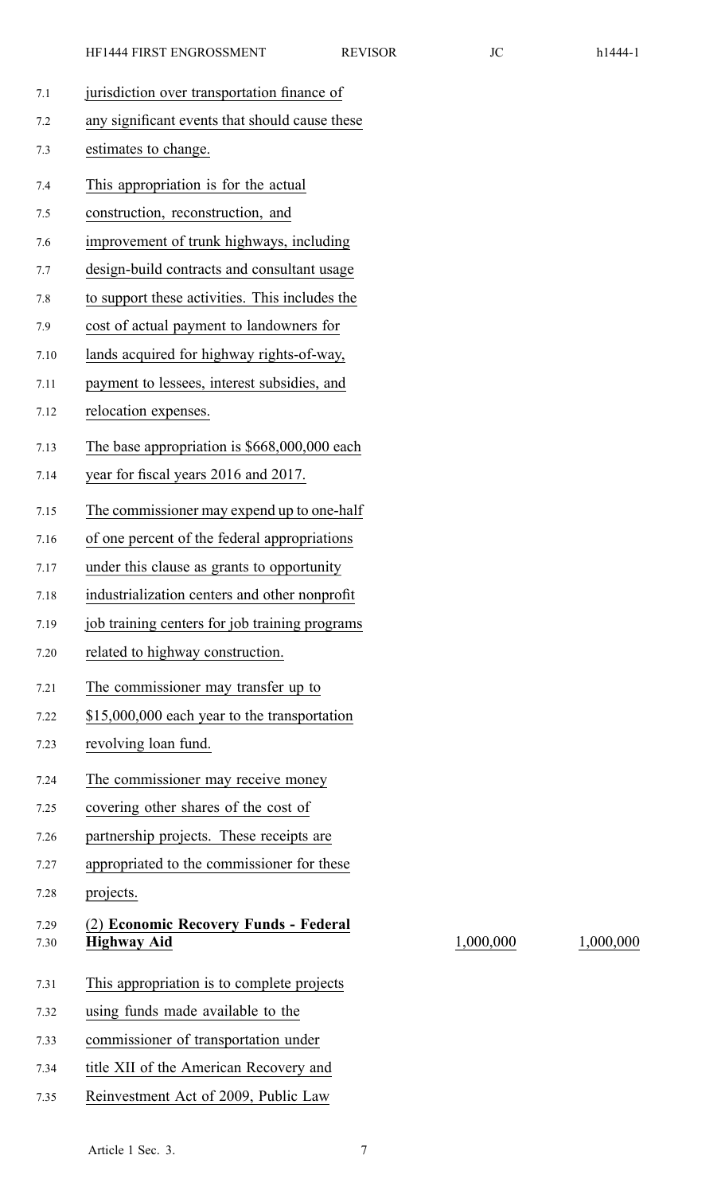| h1444- |  | 1 |
|--------|--|---|
|        |  |   |

| 7.1          | jurisdiction over transportation finance of                 |
|--------------|-------------------------------------------------------------|
| 7.2          | any significant events that should cause these              |
| 7.3          | estimates to change.                                        |
| 7.4          | This appropriation is for the actual                        |
| 7.5          | construction, reconstruction, and                           |
| 7.6          | improvement of trunk highways, including                    |
| 7.7          | design-build contracts and consultant usage                 |
| 7.8          | to support these activities. This includes the              |
| 7.9          | cost of actual payment to landowners for                    |
| 7.10         | lands acquired for highway rights-of-way,                   |
| 7.11         | payment to lessees, interest subsidies, and                 |
| 7.12         | relocation expenses.                                        |
| 7.13         | The base appropriation is \$668,000,000 each                |
| 7.14         | year for fiscal years 2016 and 2017.                        |
| 7.15         | The commissioner may expend up to one-half                  |
| 7.16         | of one percent of the federal appropriations                |
| 7.17         | under this clause as grants to opportunity                  |
| 7.18         | industrialization centers and other nonprofit               |
| 7.19         | job training centers for job training programs              |
| 7.20         | related to highway construction.                            |
| 7.21         | The commissioner may transfer up to                         |
| 7.22         | \$15,000,000 each year to the transportation                |
| 7.23         | revolving loan fund.                                        |
| 7.24         | The commissioner may receive money                          |
| 7.25         | covering other shares of the cost of                        |
| 7.26         | partnership projects. These receipts are                    |
| 7.27         | appropriated to the commissioner for these                  |
| 7.28         | projects.                                                   |
| 7.29<br>7.30 | (2) Economic Recovery Funds - Federal<br><b>Highway Aid</b> |
| 7.31         | This appropriation is to complete projects                  |
| 7.32         | using funds made available to the                           |
| 7.33         | commissioner of transportation under                        |
| 7.34         | title XII of the American Recovery and                      |
| 7.35         | Reinvestment Act of 2009, Public Law                        |

7.30 **Highway Aid** 1,000,000 1,000,000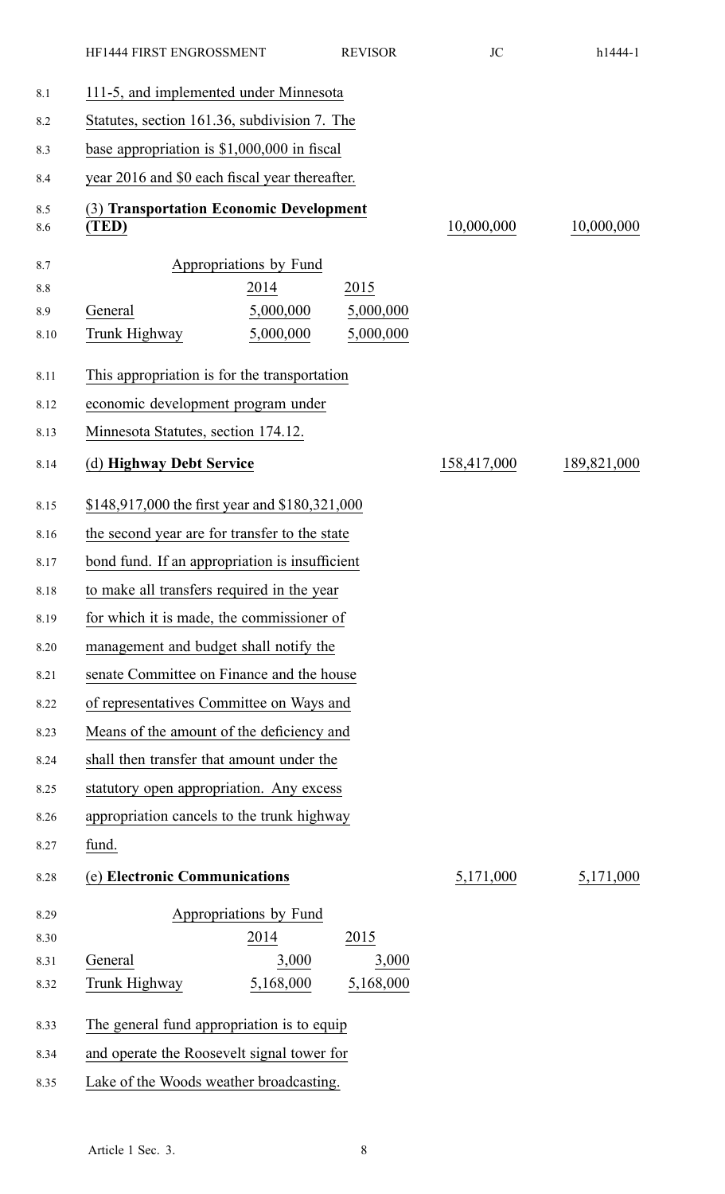|            | HF1444 FIRST ENGROSSMENT                         | <b>REVISOR</b> | JC          | h1444-1     |
|------------|--------------------------------------------------|----------------|-------------|-------------|
| 8.1        | 111-5, and implemented under Minnesota           |                |             |             |
| 8.2        | Statutes, section 161.36, subdivision 7. The     |                |             |             |
| 8.3        | base appropriation is $$1,000,000$ in fiscal     |                |             |             |
| 8.4        | year 2016 and \$0 each fiscal year thereafter.   |                |             |             |
| 8.5<br>8.6 | (3) Transportation Economic Development<br>(TED) |                | 10,000,000  | 10,000,000  |
| 8.7        | Appropriations by Fund                           |                |             |             |
| 8.8        | 2014                                             | 2015           |             |             |
| 8.9        | 5,000,000<br>General                             | 5,000,000      |             |             |
| 8.10       | Trunk Highway<br>5,000,000                       | 5,000,000      |             |             |
| 8.11       | This appropriation is for the transportation     |                |             |             |
| 8.12       | economic development program under               |                |             |             |
| 8.13       | Minnesota Statutes, section 174.12.              |                |             |             |
| 8.14       | (d) Highway Debt Service                         |                | 158,417,000 | 189,821,000 |
| 8.15       | \$148,917,000 the first year and \$180,321,000   |                |             |             |
| 8.16       | the second year are for transfer to the state    |                |             |             |
| 8.17       | bond fund. If an appropriation is insufficient   |                |             |             |
| 8.18       | to make all transfers required in the year       |                |             |             |
| 8.19       | for which it is made, the commissioner of        |                |             |             |
| 8.20       | management and budget shall notify the           |                |             |             |
| 8.21       | senate Committee on Finance and the house        |                |             |             |
| 8.22       | of representatives Committee on Ways and         |                |             |             |
| 8.23       | Means of the amount of the deficiency and        |                |             |             |
| 8.24       | shall then transfer that amount under the        |                |             |             |
| 8.25       | statutory open appropriation. Any excess         |                |             |             |
| 8.26       | appropriation cancels to the trunk highway       |                |             |             |
| 8.27       | fund.                                            |                |             |             |
| 8.28       | (e) Electronic Communications                    |                | 5,171,000   | 5,171,000   |
| 8.29       | Appropriations by Fund                           |                |             |             |
| 8.30       | 2014                                             | 2015           |             |             |
| 8.31       | General<br>3,000                                 | 3,000          |             |             |
| 8.32       | 5,168,000<br>Trunk Highway                       | 5,168,000      |             |             |
| 8.33       | The general fund appropriation is to equip       |                |             |             |
| 8.34       | and operate the Roosevelt signal tower for       |                |             |             |
| 8.35       | Lake of the Woods weather broadcasting.          |                |             |             |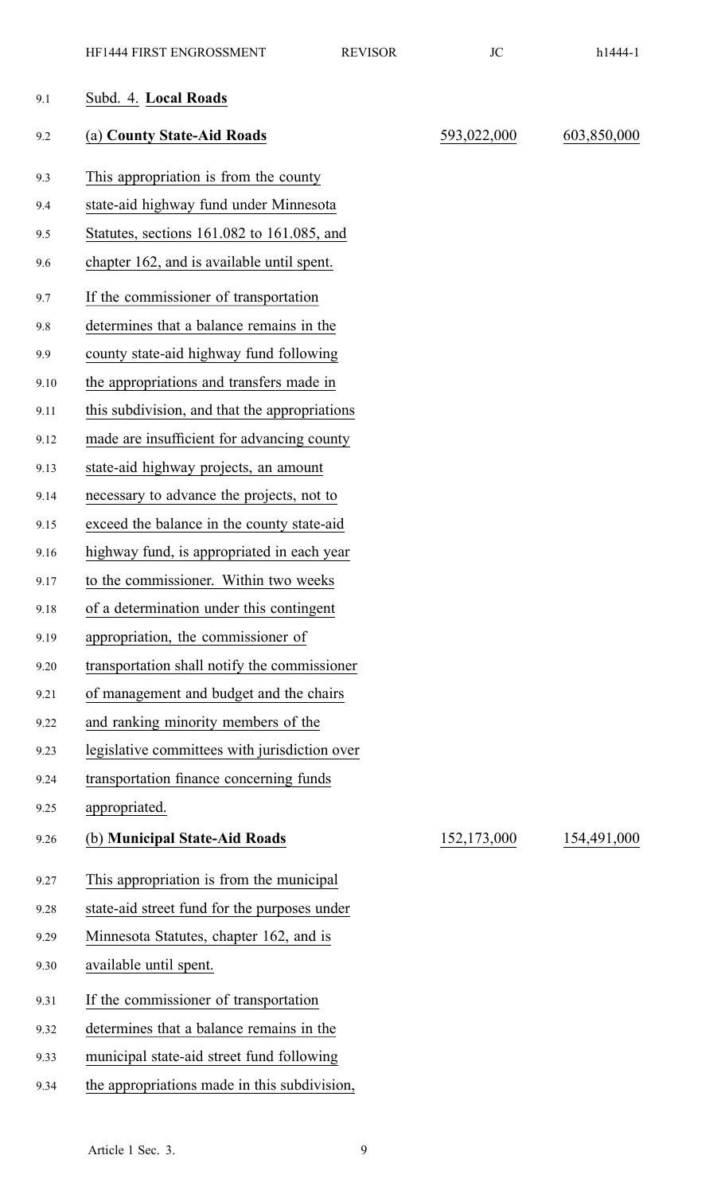| 9.1  | Subd. 4. Local Roads                          |             |             |
|------|-----------------------------------------------|-------------|-------------|
| 9.2  | (a) County State-Aid Roads                    | 593,022,000 | 603,850,000 |
| 9.3  | This appropriation is from the county         |             |             |
| 9.4  | state-aid highway fund under Minnesota        |             |             |
| 9.5  | Statutes, sections 161.082 to 161.085, and    |             |             |
| 9.6  | chapter 162, and is available until spent.    |             |             |
| 9.7  | If the commissioner of transportation         |             |             |
| 9.8  | determines that a balance remains in the      |             |             |
| 9.9  | county state-aid highway fund following       |             |             |
| 9.10 | the appropriations and transfers made in      |             |             |
| 9.11 | this subdivision, and that the appropriations |             |             |
| 9.12 | made are insufficient for advancing county    |             |             |
| 9.13 | state-aid highway projects, an amount         |             |             |
| 9.14 | necessary to advance the projects, not to     |             |             |
| 9.15 | exceed the balance in the county state-aid    |             |             |
| 9.16 | highway fund, is appropriated in each year    |             |             |
| 9.17 | to the commissioner. Within two weeks         |             |             |
| 9.18 | of a determination under this contingent      |             |             |
| 9.19 | appropriation, the commissioner of            |             |             |
| 9.20 | transportation shall notify the commissioner  |             |             |
| 9.21 | of management and budget and the chairs       |             |             |
| 9.22 | and ranking minority members of the           |             |             |
| 9.23 | legislative committees with jurisdiction over |             |             |
| 9.24 | transportation finance concerning funds       |             |             |
| 9.25 | appropriated.                                 |             |             |
| 9.26 | (b) Municipal State-Aid Roads                 | 152,173,000 | 154,491,000 |
| 9.27 | This appropriation is from the municipal      |             |             |
| 9.28 | state-aid street fund for the purposes under  |             |             |
| 9.29 | Minnesota Statutes, chapter 162, and is       |             |             |
| 9.30 | available until spent.                        |             |             |
| 9.31 | If the commissioner of transportation         |             |             |
| 9.32 | determines that a balance remains in the      |             |             |
| 9.33 | municipal state-aid street fund following     |             |             |
| 9.34 | the appropriations made in this subdivision,  |             |             |
|      |                                               |             |             |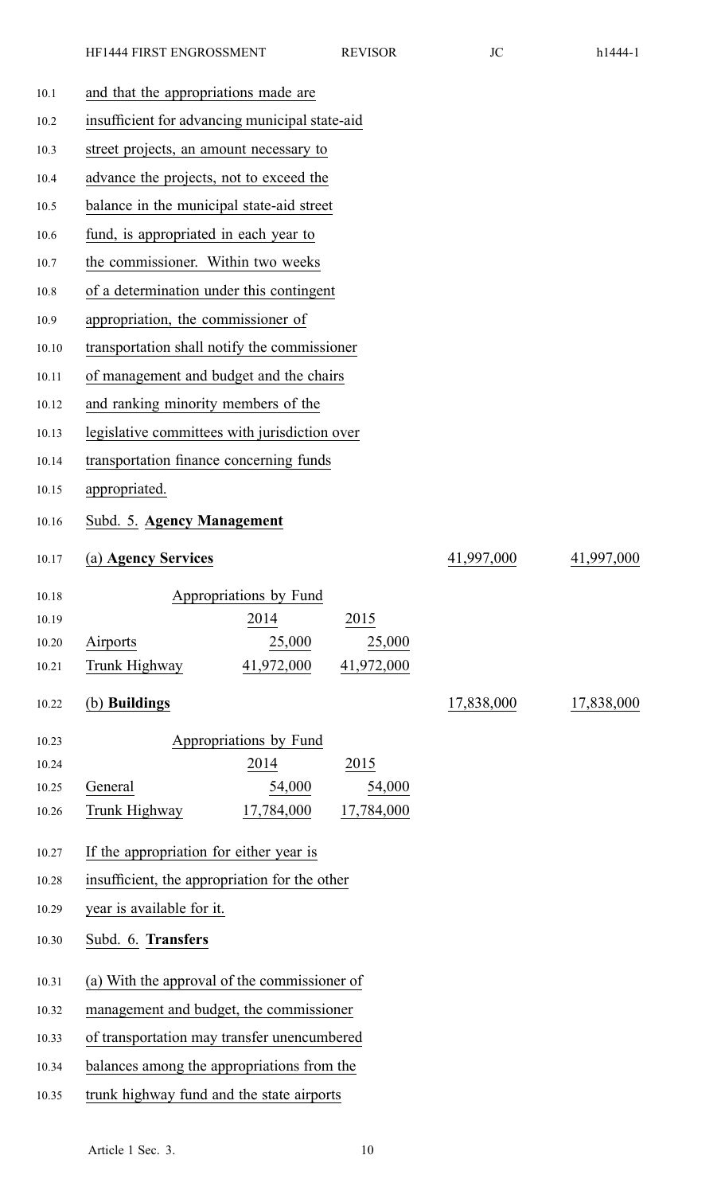| 10.1  | and that the appropriations made are           |            |            |  |
|-------|------------------------------------------------|------------|------------|--|
| 10.2  | insufficient for advancing municipal state-aid |            |            |  |
| 10.3  | street projects, an amount necessary to        |            |            |  |
| 10.4  | advance the projects, not to exceed the        |            |            |  |
| 10.5  | balance in the municipal state-aid street      |            |            |  |
| 10.6  | fund, is appropriated in each year to          |            |            |  |
| 10.7  | the commissioner. Within two weeks             |            |            |  |
| 10.8  | of a determination under this contingent       |            |            |  |
| 10.9  | appropriation, the commissioner of             |            |            |  |
| 10.10 | transportation shall notify the commissioner   |            |            |  |
| 10.11 | of management and budget and the chairs        |            |            |  |
| 10.12 | and ranking minority members of the            |            |            |  |
| 10.13 | legislative committees with jurisdiction over  |            |            |  |
| 10.14 | transportation finance concerning funds        |            |            |  |
| 10.15 | appropriated.                                  |            |            |  |
| 10.16 | Subd. 5. Agency Management                     |            |            |  |
| 10.17 | (a) Agency Services                            | 41,997,000 | 41,997,000 |  |
| 10.18 | Appropriations by Fund                         |            |            |  |
| 10.19 | 2014<br>2015                                   |            |            |  |
| 10.20 | 25,000<br>25,000<br>Airports                   |            |            |  |
| 10.21 | 41,972,000<br>41,972,000<br>Trunk Highway      |            |            |  |
| 10.22 | (b) Buildings                                  | 17,838,000 | 17,838,000 |  |
| 10.23 | Appropriations by Fund                         |            |            |  |
| 10.24 | 2014<br>2015                                   |            |            |  |
| 10.25 | General<br>54,000<br>54,000                    |            |            |  |
| 10.26 | 17,784,000<br>17,784,000<br>Trunk Highway      |            |            |  |
| 10.27 | If the appropriation for either year is        |            |            |  |
| 10.28 | insufficient, the appropriation for the other  |            |            |  |
| 10.29 | year is available for it.                      |            |            |  |
| 10.30 | Subd. 6. Transfers                             |            |            |  |
| 10.31 | (a) With the approval of the commissioner of   |            |            |  |
| 10.32 | management and budget, the commissioner        |            |            |  |
| 10.33 | of transportation may transfer unencumbered    |            |            |  |
| 10.34 | balances among the appropriations from the     |            |            |  |
| 10.35 | trunk highway fund and the state airports      |            |            |  |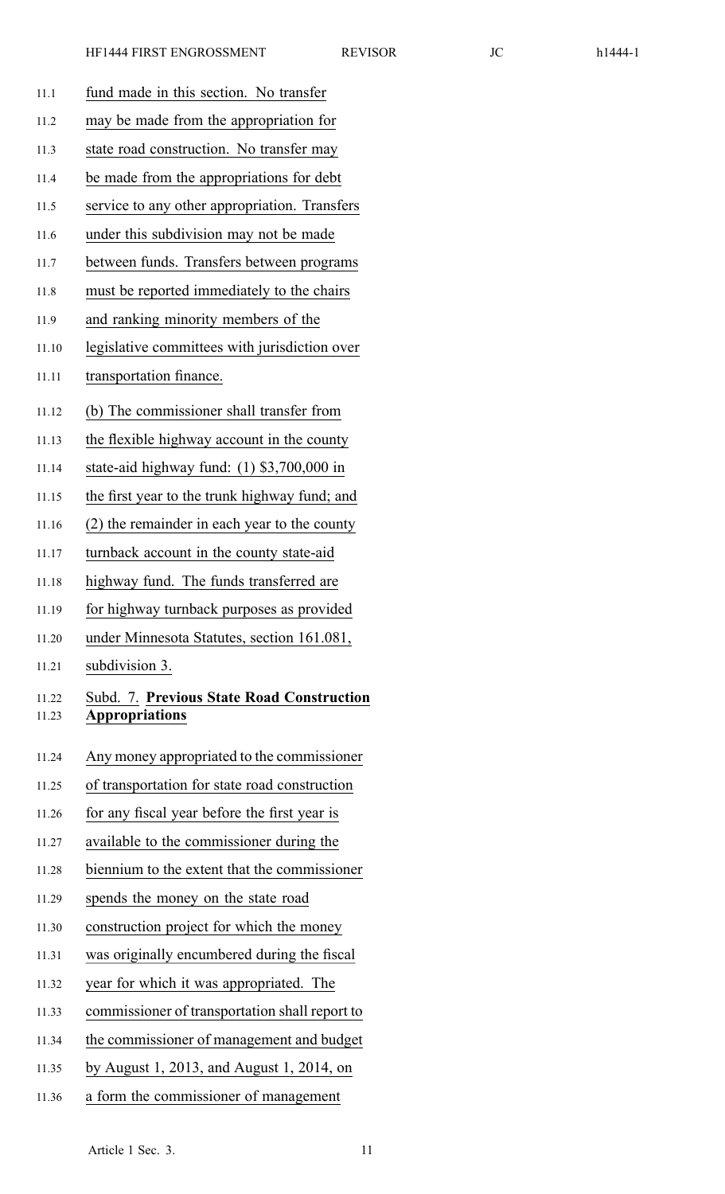| 11.1  | fund made in this section. No transfer           |
|-------|--------------------------------------------------|
| 11.2  | may be made from the appropriation for           |
| 11.3  | state road construction. No transfer may         |
| 11.4  | be made from the appropriations for debt         |
| 11.5  | service to any other appropriation. Transfers    |
| 11.6  | under this subdivision may not be made           |
| 11.7  | between funds. Transfers between programs        |
| 11.8  | must be reported immediately to the chairs       |
| 11.9  | and ranking minority members of the              |
| 11.10 | legislative committees with jurisdiction over    |
| 11.11 | transportation finance.                          |
| 11.12 | (b) The commissioner shall transfer from         |
| 11.13 | the flexible highway account in the county       |
| 11.14 | state-aid highway fund: (1) \$3,700,000 in       |
| 11.15 | the first year to the trunk highway fund; and    |
| 11.16 | (2) the remainder in each year to the county     |
| 11.17 | turnback account in the county state-aid         |
| 11.18 | highway fund. The funds transferred are          |
| 11.19 | for highway turnback purposes as provided        |
| 11.20 | under Minnesota Statutes, section 161.081,       |
| 11.21 | subdivision 3.                                   |
| 11.22 | Subd. 7. Previous State Road Construction        |
| 11.23 | <b>Appropriations</b>                            |
| 11.24 | Any money appropriated to the commissioner       |
| 11.25 | of transportation for state road construction    |
| 11.26 | for any fiscal year before the first year is     |
| 11.27 | available to the commissioner during the         |
| 11.28 | biennium to the extent that the commissioner     |
| 11.29 | spends the money on the state road               |
| 11.30 | construction project for which the money         |
| 11.31 | was originally encumbered during the fiscal      |
| 11.32 | year for which it was appropriated. The          |
| 11.33 | commissioner of transportation shall report to   |
| 11.34 | the commissioner of management and budget        |
| 11.35 | by August 1, 2013, and August 1, 2014, on        |
|       | $f_{\text{sum}}$ , the commission of proposed of |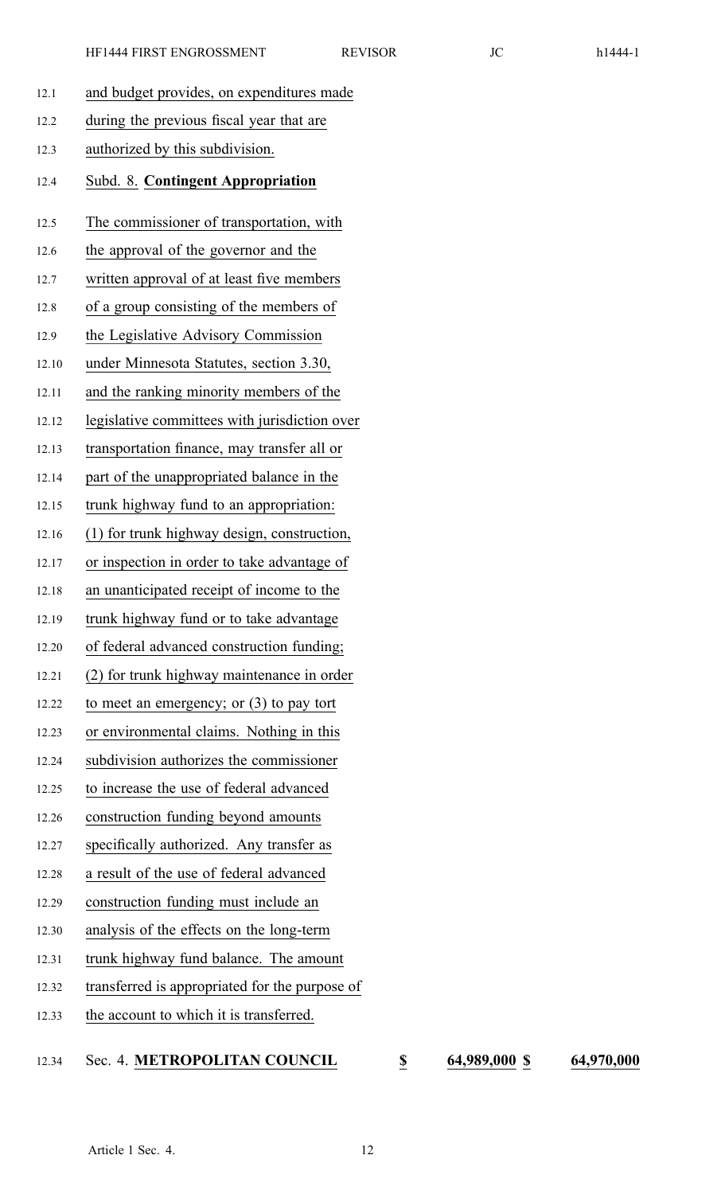| 12.1  | and budget provides, on expenditures made      |
|-------|------------------------------------------------|
| 12.2  | during the previous fiscal year that are       |
| 12.3  | authorized by this subdivision.                |
| 12.4  | Subd. 8. Contingent Appropriation              |
| 12.5  | The commissioner of transportation, with       |
| 12.6  | the approval of the governor and the           |
| 12.7  | written approval of at least five members      |
| 12.8  | of a group consisting of the members of        |
| 12.9  | the Legislative Advisory Commission            |
| 12.10 | under Minnesota Statutes, section 3.30,        |
| 12.11 | and the ranking minority members of the        |
| 12.12 | legislative committees with jurisdiction over  |
| 12.13 | transportation finance, may transfer all or    |
| 12.14 | part of the unappropriated balance in the      |
| 12.15 | trunk highway fund to an appropriation:        |
| 12.16 | (1) for trunk highway design, construction,    |
| 12.17 | or inspection in order to take advantage of    |
| 12.18 | an unanticipated receipt of income to the      |
| 12.19 | trunk highway fund or to take advantage        |
| 12.20 | of federal advanced construction funding;      |
| 12.21 | (2) for trunk highway maintenance in order     |
| 12.22 | to meet an emergency; or $(3)$ to pay tort     |
| 12.23 | or environmental claims. Nothing in this       |
| 12.24 | subdivision authorizes the commissioner        |
| 12.25 | to increase the use of federal advanced        |
| 12.26 | construction funding beyond amounts            |
| 12.27 | specifically authorized. Any transfer as       |
| 12.28 | a result of the use of federal advanced        |
| 12.29 | construction funding must include an           |
| 12.30 | analysis of the effects on the long-term       |
| 12.31 | trunk highway fund balance. The amount         |
| 12.32 | transferred is appropriated for the purpose of |
| 12.33 | the account to which it is transferred.        |

# 12.34 Sec. 4. **METROPOLITAN COUNCIL \$ 64,989,000 \$ 64,970,000**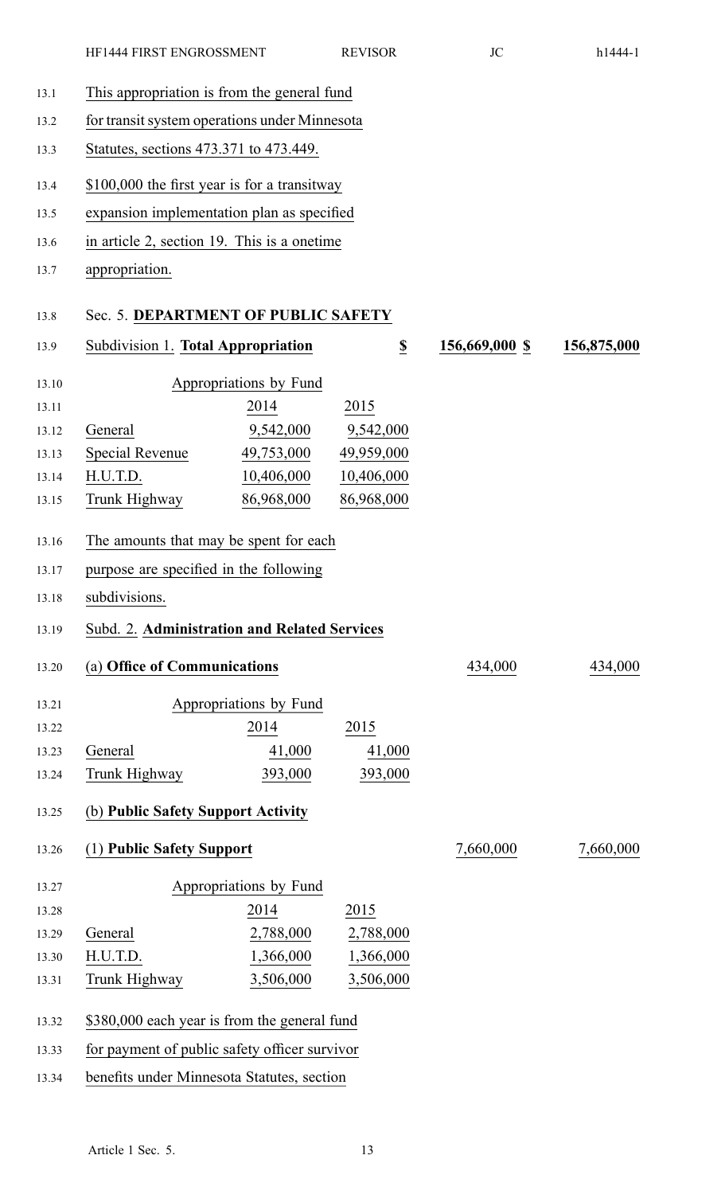- 13.1 This appropriation is from the general fund
- 13.2 for transit system operations under Minnesota
- 13.3 Statutes, sections 473.371 to 473.449.
- 13.4 \$100,000 the first year is for <sup>a</sup> transitway
- 13.5 expansion implementation plan as specified
- 13.6 in article 2, section 19. This is <sup>a</sup> onetime
- 13.7 appropriation.

# 13.8 Sec. 5. **DEPARTMENT OF PUBLIC SAFETY**

| 13.9  | Subdivision 1. Total Appropriation            |                                              | $\underline{\underline{\$}}$ | 156,669,000 \$ | 156,875,000 |
|-------|-----------------------------------------------|----------------------------------------------|------------------------------|----------------|-------------|
| 13.10 |                                               | Appropriations by Fund                       |                              |                |             |
| 13.11 |                                               | 2014                                         | 2015                         |                |             |
| 13.12 | General                                       | 9,542,000                                    | 9,542,000                    |                |             |
| 13.13 | <b>Special Revenue</b>                        | 49,753,000                                   | 49,959,000                   |                |             |
| 13.14 | H.U.T.D.                                      | 10,406,000                                   | 10,406,000                   |                |             |
| 13.15 | Trunk Highway                                 | 86,968,000                                   | 86,968,000                   |                |             |
| 13.16 | The amounts that may be spent for each        |                                              |                              |                |             |
| 13.17 | purpose are specified in the following        |                                              |                              |                |             |
| 13.18 | subdivisions.                                 |                                              |                              |                |             |
| 13.19 | Subd. 2. Administration and Related Services  |                                              |                              |                |             |
| 13.20 | (a) Office of Communications                  |                                              |                              | 434,000        | 434,000     |
| 13.21 |                                               | Appropriations by Fund                       |                              |                |             |
| 13.22 |                                               | 2014                                         | 2015                         |                |             |
| 13.23 | General                                       | 41,000                                       | 41,000                       |                |             |
| 13.24 | Trunk Highway                                 | 393,000                                      | 393,000                      |                |             |
| 13.25 | (b) Public Safety Support Activity            |                                              |                              |                |             |
| 13.26 | (1) Public Safety Support                     |                                              |                              | 7,660,000      | 7,660,000   |
| 13.27 |                                               | Appropriations by Fund                       |                              |                |             |
| 13.28 |                                               | 2014                                         | 2015                         |                |             |
| 13.29 | General                                       | 2,788,000                                    | 2,788,000                    |                |             |
| 13.30 | H.U.T.D.                                      | 1,366,000                                    | 1,366,000                    |                |             |
| 13.31 | Trunk Highway                                 | 3,506,000                                    | 3,506,000                    |                |             |
| 13.32 |                                               | \$380,000 each year is from the general fund |                              |                |             |
| 13.33 | for payment of public safety officer survivor |                                              |                              |                |             |

13.34 benefits under Minnesota Statutes, section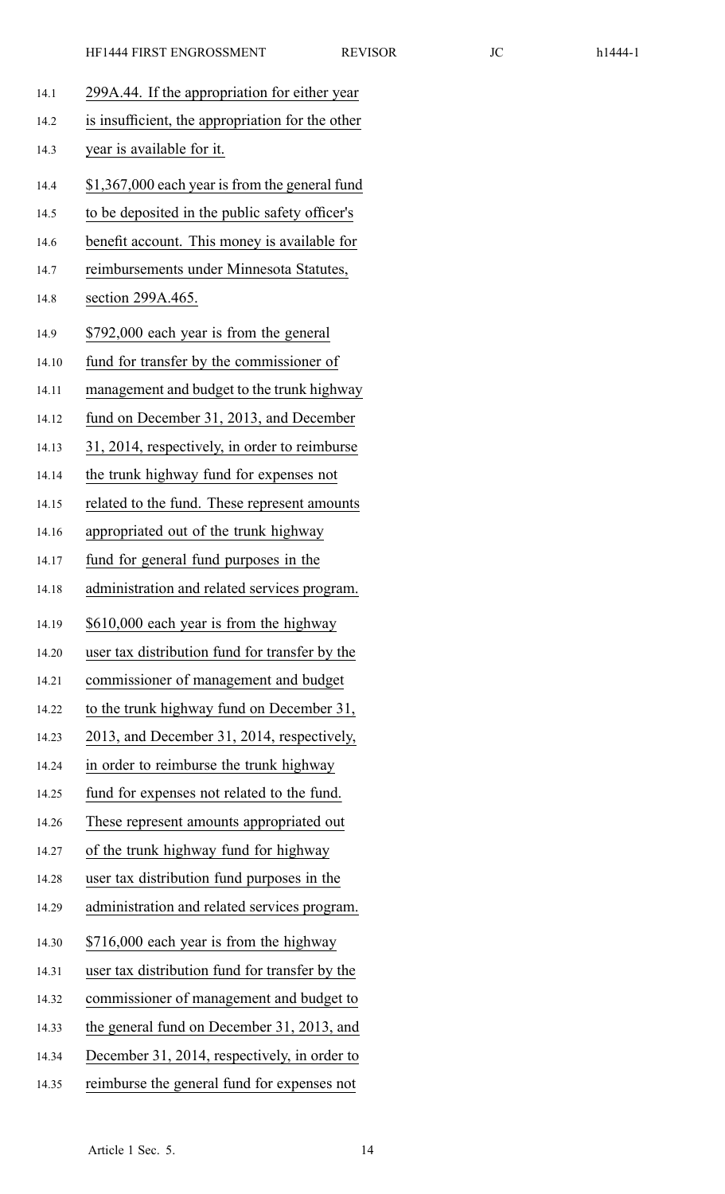| 14.1  | 299A.44. If the appropriation for either year    |
|-------|--------------------------------------------------|
| 14.2  | is insufficient, the appropriation for the other |
| 14.3  | year is available for it.                        |
| 14.4  | \$1,367,000 each year is from the general fund   |
| 14.5  | to be deposited in the public safety officer's   |
| 14.6  | benefit account. This money is available for     |
| 14.7  | reimbursements under Minnesota Statutes,         |
| 14.8  | section 299A.465.                                |
| 14.9  | \$792,000 each year is from the general          |
| 14.10 | fund for transfer by the commissioner of         |
| 14.11 | management and budget to the trunk highway       |
| 14.12 | fund on December 31, 2013, and December          |
| 14.13 | 31, 2014, respectively, in order to reimburse    |
| 14.14 | the trunk highway fund for expenses not          |
| 14.15 | related to the fund. These represent amounts     |
| 14.16 | appropriated out of the trunk highway            |
| 14.17 | fund for general fund purposes in the            |
| 14.18 | administration and related services program.     |
| 14.19 | \$610,000 each year is from the highway          |
| 14.20 | user tax distribution fund for transfer by the   |
| 14.21 | commissioner of management and budget            |
| 14.22 | to the trunk highway fund on December 31,        |
| 14.23 | 2013, and December 31, 2014, respectively,       |
| 14.24 | in order to reimburse the trunk highway          |
| 14.25 | fund for expenses not related to the fund.       |
| 14.26 | These represent amounts appropriated out         |
| 14.27 | of the trunk highway fund for highway            |
| 14.28 | user tax distribution fund purposes in the       |
| 14.29 | administration and related services program.     |
| 14.30 | \$716,000 each year is from the highway          |
| 14.31 | user tax distribution fund for transfer by the   |
| 14.32 | commissioner of management and budget to         |
| 14.33 | the general fund on December 31, 2013, and       |
| 14.34 | December 31, 2014, respectively, in order to     |
| 14.35 | reimburse the general fund for expenses not      |
|       |                                                  |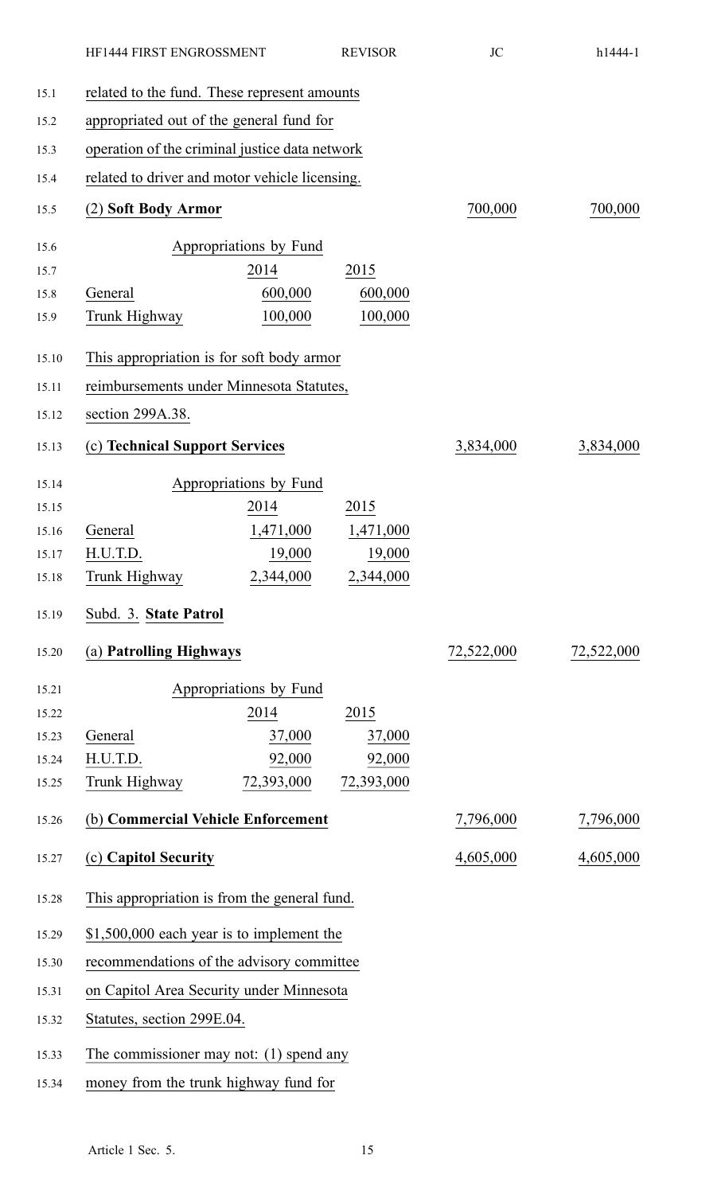| HF1444 FIRST ENGROSSMENT                       |                        | <b>REVISOR</b> | JC         | h1444-1    |
|------------------------------------------------|------------------------|----------------|------------|------------|
| related to the fund. These represent amounts   |                        |                |            |            |
| appropriated out of the general fund for       |                        |                |            |            |
| operation of the criminal justice data network |                        |                |            |            |
| related to driver and motor vehicle licensing. |                        |                |            |            |
| (2) Soft Body Armor                            |                        |                | 700,000    | 700,000    |
|                                                | Appropriations by Fund |                |            |            |
|                                                | 2014                   | 2015           |            |            |
| General                                        | 600,000                | 600,000        |            |            |
| Trunk Highway                                  | 100,000                | 100,000        |            |            |
| This appropriation is for soft body armor      |                        |                |            |            |
| reimbursements under Minnesota Statutes,       |                        |                |            |            |
| section 299A.38.                               |                        |                |            |            |
| (c) Technical Support Services                 |                        |                | 3,834,000  | 3,834,000  |
|                                                | Appropriations by Fund |                |            |            |
|                                                | 2014                   | 2015           |            |            |
| General                                        | 1,471,000              | 1,471,000      |            |            |
| H.U.T.D.                                       | 19,000                 | 19,000         |            |            |
| Trunk Highway                                  | 2,344,000              | 2,344,000      |            |            |
| Subd. 3. State Patrol                          |                        |                |            |            |
| (a) Patrolling Highways                        |                        |                | 72,522,000 | 72,522,000 |
|                                                | Appropriations by Fund |                |            |            |
|                                                | 2014                   | 2015           |            |            |
| General                                        | 37,000                 | 37,000         |            |            |
| H.U.T.D.                                       | 92,000                 | 92,000         |            |            |
| Trunk Highway                                  | 72,393,000             | 72,393,000     |            |            |
| (b) Commercial Vehicle Enforcement             |                        |                | 7,796,000  | 7,796,000  |
| (c) Capitol Security                           |                        |                | 4,605,000  | 4,605,000  |
| This appropriation is from the general fund.   |                        |                |            |            |
| \$1,500,000 each year is to implement the      |                        |                |            |            |
| recommendations of the advisory committee      |                        |                |            |            |
| on Capitol Area Security under Minnesota       |                        |                |            |            |
| Statutes, section 299E.04.                     |                        |                |            |            |
| The commissioner may not: $(1)$ spend any      |                        |                |            |            |
| money from the trunk highway fund for          |                        |                |            |            |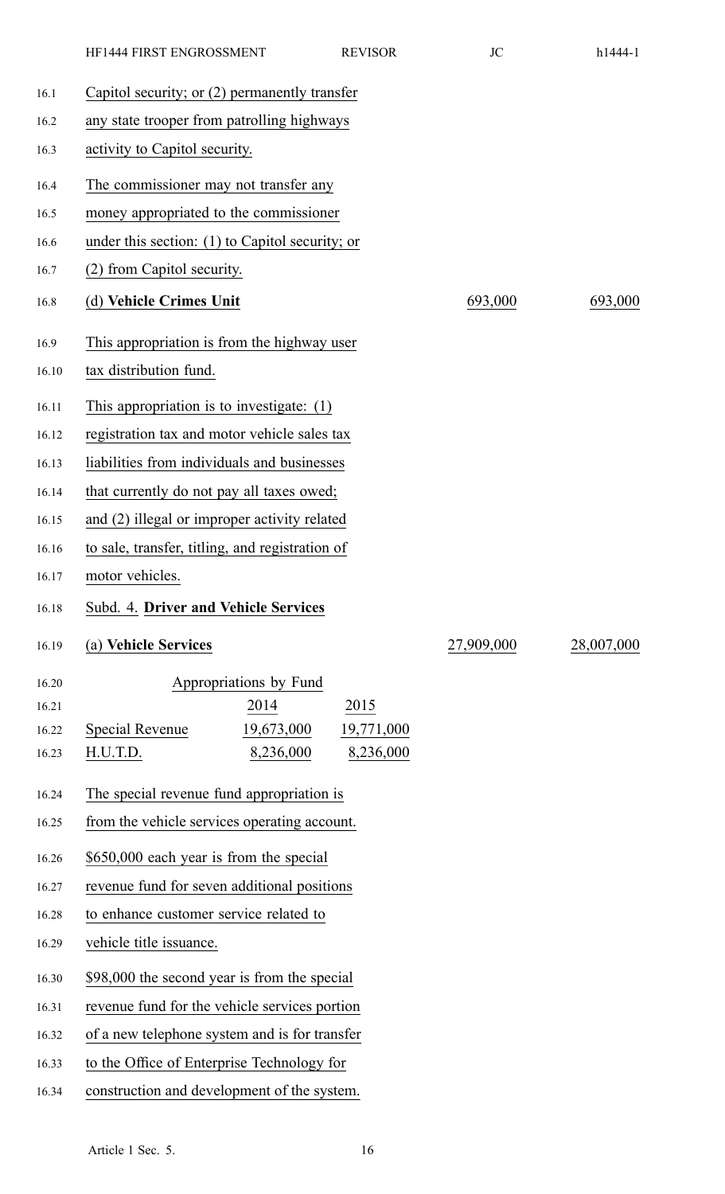| 16.1  | Capitol security; or (2) permanently transfer   |                                         |            |            |            |
|-------|-------------------------------------------------|-----------------------------------------|------------|------------|------------|
| 16.2  | any state trooper from patrolling highways      |                                         |            |            |            |
| 16.3  | activity to Capitol security.                   |                                         |            |            |            |
| 16.4  | The commissioner may not transfer any           |                                         |            |            |            |
| 16.5  | money appropriated to the commissioner          |                                         |            |            |            |
| 16.6  | under this section: (1) to Capitol security; or |                                         |            |            |            |
| 16.7  | (2) from Capitol security.                      |                                         |            |            |            |
| 16.8  | (d) Vehicle Crimes Unit                         |                                         |            | 693,000    | 693,000    |
| 16.9  | This appropriation is from the highway user     |                                         |            |            |            |
| 16.10 | tax distribution fund.                          |                                         |            |            |            |
| 16.11 | This appropriation is to investigate: $(1)$     |                                         |            |            |            |
| 16.12 | registration tax and motor vehicle sales tax    |                                         |            |            |            |
| 16.13 | liabilities from individuals and businesses     |                                         |            |            |            |
| 16.14 | that currently do not pay all taxes owed;       |                                         |            |            |            |
| 16.15 | and (2) illegal or improper activity related    |                                         |            |            |            |
| 16.16 | to sale, transfer, titling, and registration of |                                         |            |            |            |
| 16.17 | motor vehicles.                                 |                                         |            |            |            |
| 16.18 | Subd. 4. Driver and Vehicle Services            |                                         |            |            |            |
| 16.19 | (a) Vehicle Services                            |                                         |            | 27,909,000 | 28,007,000 |
| 16.20 |                                                 | Appropriations by Fund                  |            |            |            |
| 16.21 |                                                 | 2014                                    | 2015       |            |            |
| 16.22 | <b>Special Revenue</b>                          | 19,673,000                              | 19,771,000 |            |            |
| 16.23 | H.U.T.D.                                        | 8,236,000                               | 8,236,000  |            |            |
| 16.24 | The special revenue fund appropriation is       |                                         |            |            |            |
| 16.25 | from the vehicle services operating account.    |                                         |            |            |            |
| 16.26 |                                                 | \$650,000 each year is from the special |            |            |            |
| 16.27 | revenue fund for seven additional positions     |                                         |            |            |            |
| 16.28 | to enhance customer service related to          |                                         |            |            |            |
| 16.29 | vehicle title issuance.                         |                                         |            |            |            |
| 16.30 | \$98,000 the second year is from the special    |                                         |            |            |            |
| 16.31 | revenue fund for the vehicle services portion   |                                         |            |            |            |
| 16.32 | of a new telephone system and is for transfer   |                                         |            |            |            |
| 16.33 | to the Office of Enterprise Technology for      |                                         |            |            |            |
| 16.34 | construction and development of the system.     |                                         |            |            |            |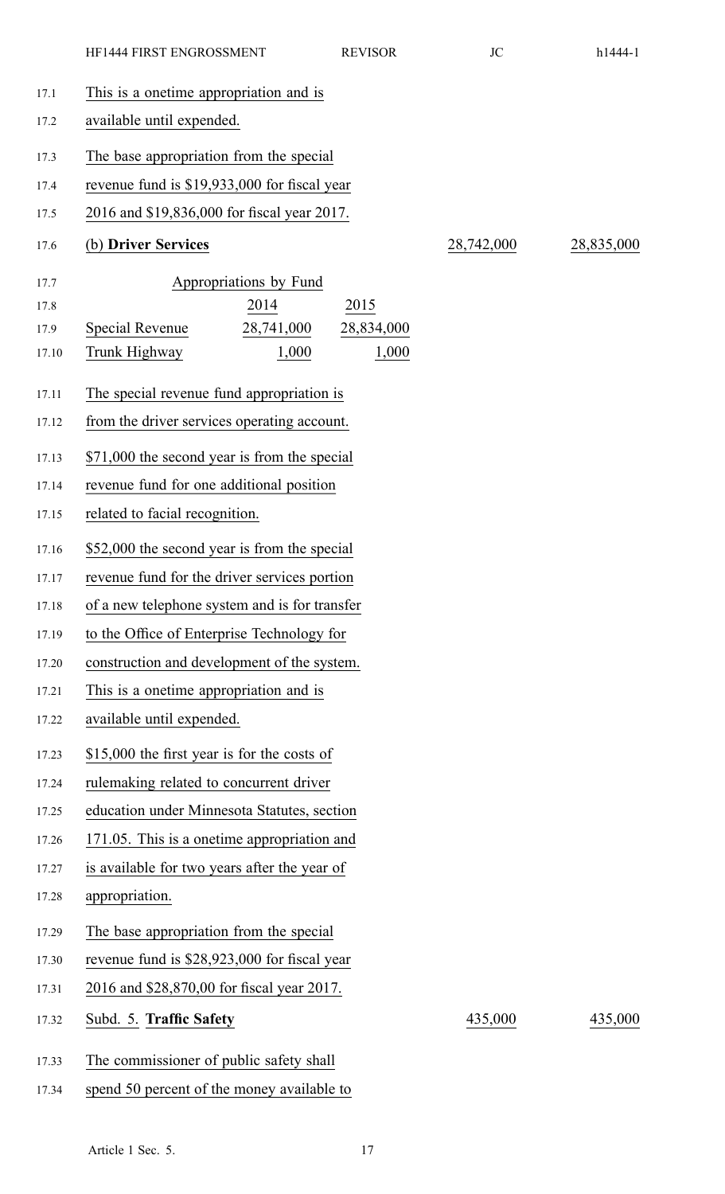| 17.1  | This is a onetime appropriation and is             |            |            |  |  |
|-------|----------------------------------------------------|------------|------------|--|--|
| 17.2  | available until expended.                          |            |            |  |  |
| 17.3  | The base appropriation from the special            |            |            |  |  |
| 17.4  | revenue fund is \$19,933,000 for fiscal year       |            |            |  |  |
| 17.5  | 2016 and \$19,836,000 for fiscal year 2017.        |            |            |  |  |
| 17.6  | (b) Driver Services                                | 28,742,000 | 28,835,000 |  |  |
| 17.7  | Appropriations by Fund                             |            |            |  |  |
| 17.8  | 2014<br>2015                                       |            |            |  |  |
| 17.9  | <b>Special Revenue</b><br>28,741,000<br>28,834,000 |            |            |  |  |
| 17.10 | Trunk Highway<br>1,000<br>1,000                    |            |            |  |  |
| 17.11 | The special revenue fund appropriation is          |            |            |  |  |
| 17.12 | from the driver services operating account.        |            |            |  |  |
| 17.13 | \$71,000 the second year is from the special       |            |            |  |  |
| 17.14 | revenue fund for one additional position           |            |            |  |  |
| 17.15 | related to facial recognition.                     |            |            |  |  |
| 17.16 | \$52,000 the second year is from the special       |            |            |  |  |
| 17.17 | revenue fund for the driver services portion       |            |            |  |  |
| 17.18 | of a new telephone system and is for transfer      |            |            |  |  |
| 17.19 | to the Office of Enterprise Technology for         |            |            |  |  |
| 17.20 | construction and development of the system.        |            |            |  |  |
| 17.21 | This is a onetime appropriation and is             |            |            |  |  |
| 17.22 | available until expended.                          |            |            |  |  |
| 17.23 | \$15,000 the first year is for the costs of        |            |            |  |  |
| 17.24 | rule making related to concurrent driver           |            |            |  |  |
| 17.25 | education under Minnesota Statutes, section        |            |            |  |  |
| 17.26 | 171.05. This is a onetime appropriation and        |            |            |  |  |
| 17.27 | is available for two years after the year of       |            |            |  |  |
| 17.28 | appropriation.                                     |            |            |  |  |
| 17.29 | The base appropriation from the special            |            |            |  |  |
| 17.30 | revenue fund is \$28,923,000 for fiscal year       |            |            |  |  |
| 17.31 | 2016 and \$28,870,00 for fiscal year 2017.         |            |            |  |  |
| 17.32 | Subd. 5. Traffic Safety                            | 435,000    | 435,000    |  |  |
| 17.33 | The commissioner of public safety shall            |            |            |  |  |
| 17.34 | spend 50 percent of the money available to         |            |            |  |  |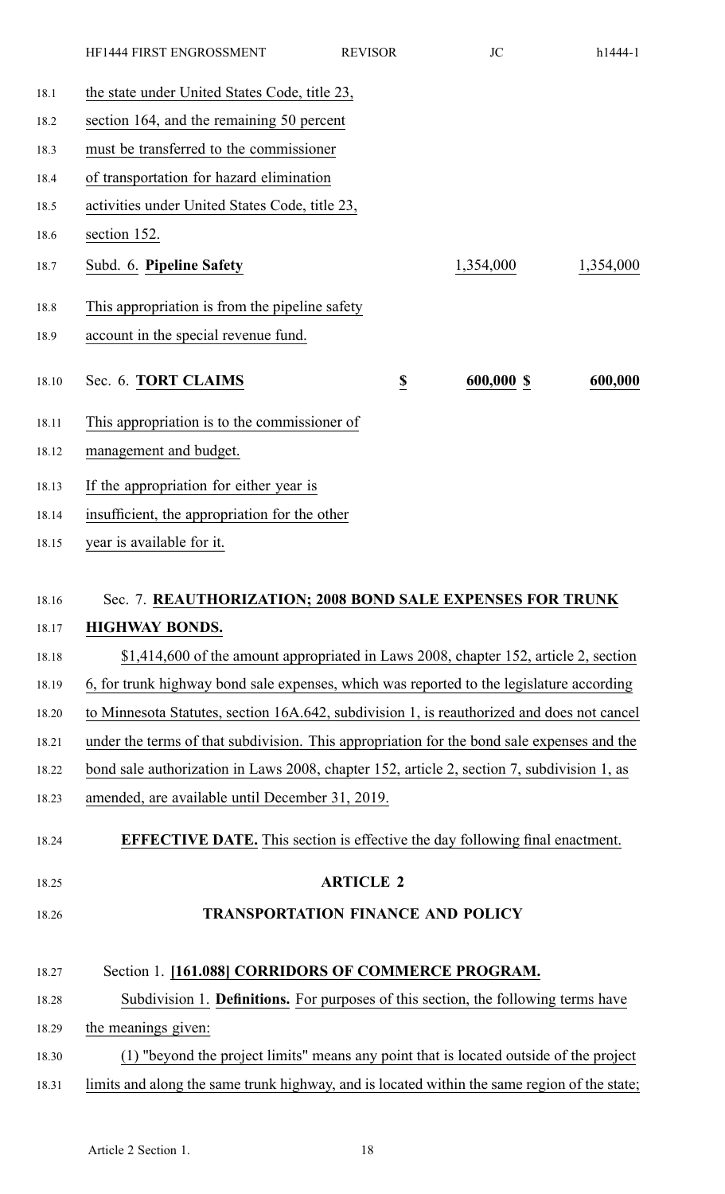|                | HF1444 FIRST ENGROSSMENT                                                                                                                         | <b>REVISOR</b>   | JC         | h1444-1   |
|----------------|--------------------------------------------------------------------------------------------------------------------------------------------------|------------------|------------|-----------|
| 18.1           | the state under United States Code, title 23,                                                                                                    |                  |            |           |
| 18.2           | section 164, and the remaining 50 percent                                                                                                        |                  |            |           |
| 18.3           | must be transferred to the commissioner                                                                                                          |                  |            |           |
| 18.4           | of transportation for hazard elimination                                                                                                         |                  |            |           |
| 18.5           | activities under United States Code, title 23,                                                                                                   |                  |            |           |
| 18.6           | section 152.                                                                                                                                     |                  |            |           |
| 18.7           | Subd. 6. Pipeline Safety                                                                                                                         |                  | 1,354,000  | 1,354,000 |
| 18.8           | This appropriation is from the pipeline safety                                                                                                   |                  |            |           |
| 18.9           | account in the special revenue fund.                                                                                                             |                  |            |           |
| 18.10          | Sec. 6. TORT CLAIMS                                                                                                                              | $\underline{\$}$ | 600,000 \$ | 600,000   |
| 18.11          | This appropriation is to the commissioner of                                                                                                     |                  |            |           |
| 18.12          | management and budget.                                                                                                                           |                  |            |           |
| 18.13          | If the appropriation for either year is                                                                                                          |                  |            |           |
| 18.14          | insufficient, the appropriation for the other                                                                                                    |                  |            |           |
| 18.15          | year is available for it.                                                                                                                        |                  |            |           |
|                |                                                                                                                                                  |                  |            |           |
| 18.16          | Sec. 7. REAUTHORIZATION; 2008 BOND SALE EXPENSES FOR TRUNK                                                                                       |                  |            |           |
| 18.17          | <b>HIGHWAY BONDS.</b>                                                                                                                            |                  |            |           |
| 18.18          | \$1,414,600 of the amount appropriated in Laws 2008, chapter 152, article 2, section                                                             |                  |            |           |
| 18.19          | 6, for trunk highway bond sale expenses, which was reported to the legislature according                                                         |                  |            |           |
| 18.20          | to Minnesota Statutes, section 16A.642, subdivision 1, is reauthorized and does not cancel                                                       |                  |            |           |
| 18.21          | under the terms of that subdivision. This appropriation for the bond sale expenses and the                                                       |                  |            |           |
| 18.22          | bond sale authorization in Laws 2008, chapter 152, article 2, section 7, subdivision 1, as                                                       |                  |            |           |
| 18.23          | amended, are available until December 31, 2019.                                                                                                  |                  |            |           |
| 18.24          | <b>EFFECTIVE DATE.</b> This section is effective the day following final enactment.                                                              |                  |            |           |
| 18.25          |                                                                                                                                                  | <b>ARTICLE 2</b> |            |           |
| 18.26          | <b>TRANSPORTATION FINANCE AND POLICY</b>                                                                                                         |                  |            |           |
|                |                                                                                                                                                  |                  |            |           |
| 18.27<br>18.28 | Section 1. [161.088] CORRIDORS OF COMMERCE PROGRAM.<br>Subdivision 1. <b>Definitions.</b> For purposes of this section, the following terms have |                  |            |           |
| 18.29          | the meanings given:                                                                                                                              |                  |            |           |
| 18.30          | (1) "beyond the project limits" means any point that is located outside of the project                                                           |                  |            |           |
| 18.31          | limits and along the same trunk highway, and is located within the same region of the state;                                                     |                  |            |           |
|                |                                                                                                                                                  |                  |            |           |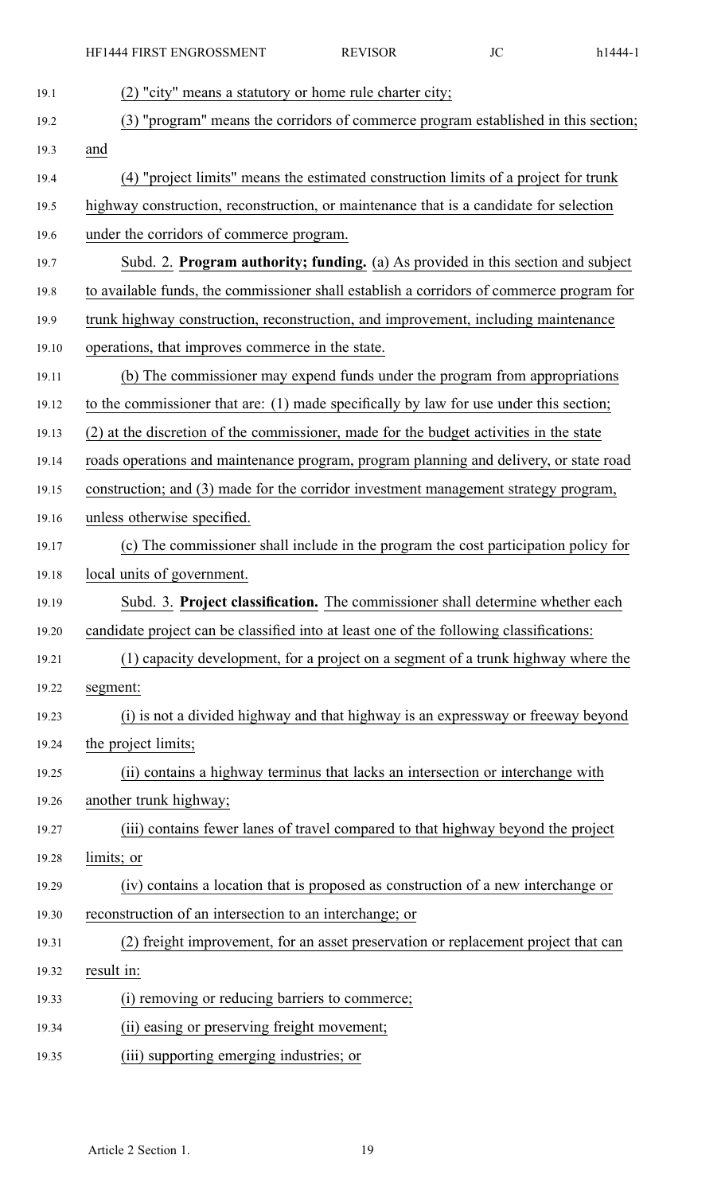| 19.1  | (2) "city" means a statutory or home rule charter city;                                  |
|-------|------------------------------------------------------------------------------------------|
| 19.2  | (3) "program" means the corridors of commerce program established in this section;       |
| 19.3  | and                                                                                      |
| 19.4  | (4) "project limits" means the estimated construction limits of a project for trunk      |
| 19.5  | highway construction, reconstruction, or maintenance that is a candidate for selection   |
| 19.6  | under the corridors of commerce program.                                                 |
| 19.7  | Subd. 2. Program authority; funding. (a) As provided in this section and subject         |
| 19.8  | to available funds, the commissioner shall establish a corridors of commerce program for |
| 19.9  | trunk highway construction, reconstruction, and improvement, including maintenance       |
| 19.10 | operations, that improves commerce in the state.                                         |
| 19.11 | (b) The commissioner may expend funds under the program from appropriations              |
| 19.12 | to the commissioner that are: (1) made specifically by law for use under this section;   |
| 19.13 | (2) at the discretion of the commissioner, made for the budget activities in the state   |
| 19.14 | roads operations and maintenance program, program planning and delivery, or state road   |
| 19.15 | construction; and (3) made for the corridor investment management strategy program,      |
| 19.16 | unless otherwise specified.                                                              |
| 19.17 | (c) The commissioner shall include in the program the cost participation policy for      |
| 19.18 | local units of government.                                                               |
| 19.19 | Subd. 3. Project classification. The commissioner shall determine whether each           |
| 19.20 | candidate project can be classified into at least one of the following classifications:  |
| 19.21 | (1) capacity development, for a project on a segment of a trunk highway where the        |
| 19.22 | segment:                                                                                 |
| 19.23 | (i) is not a divided highway and that highway is an expressway or freeway beyond         |
| 19.24 | the project limits;                                                                      |
| 19.25 | (ii) contains a highway terminus that lacks an intersection or interchange with          |
| 19.26 | another trunk highway;                                                                   |
| 19.27 | (iii) contains fewer lanes of travel compared to that highway beyond the project         |
| 19.28 | limits; or                                                                               |
| 19.29 | (iv) contains a location that is proposed as construction of a new interchange or        |
| 19.30 | reconstruction of an intersection to an interchange; or                                  |
| 19.31 | (2) freight improvement, for an asset preservation or replacement project that can       |
| 19.32 | result in:                                                                               |
| 19.33 | (i) removing or reducing barriers to commerce;                                           |
| 19.34 | (ii) easing or preserving freight movement;                                              |
| 19.35 | (iii) supporting emerging industries; or                                                 |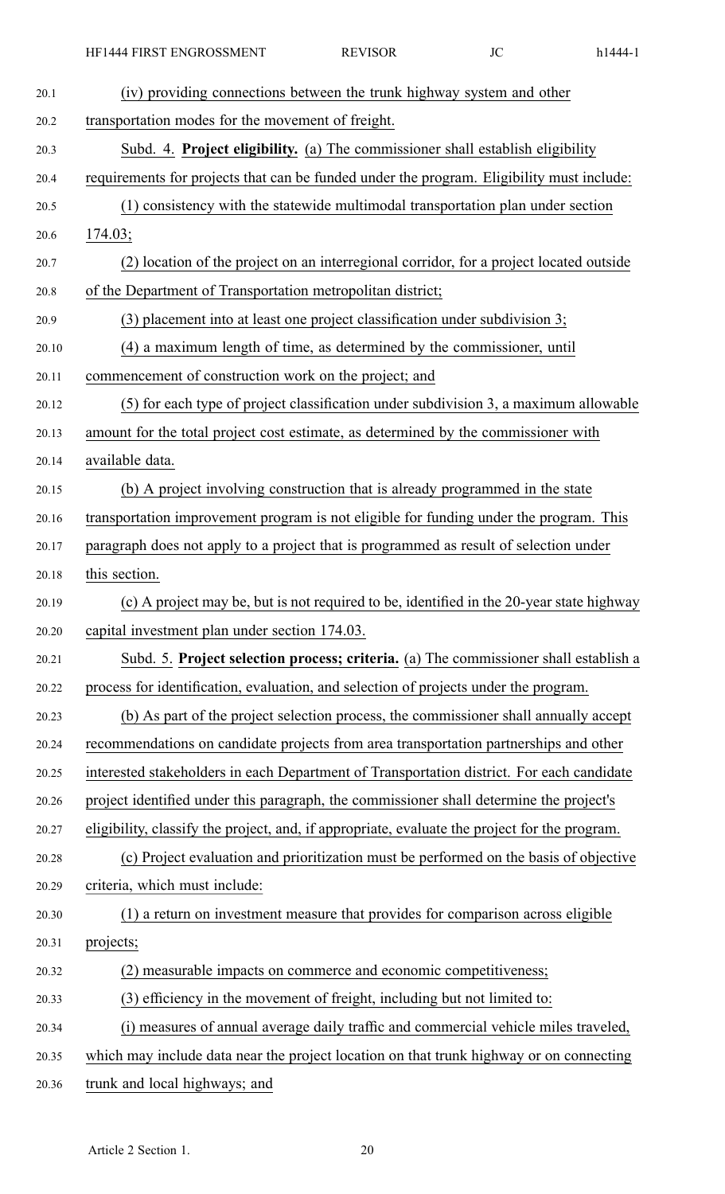| 20.1  | (iv) providing connections between the trunk highway system and other                         |
|-------|-----------------------------------------------------------------------------------------------|
| 20.2  | transportation modes for the movement of freight.                                             |
| 20.3  | Subd. 4. Project eligibility. (a) The commissioner shall establish eligibility                |
| 20.4  | requirements for projects that can be funded under the program. Eligibility must include:     |
| 20.5  | (1) consistency with the statewide multimodal transportation plan under section               |
| 20.6  | 174.03;                                                                                       |
| 20.7  | (2) location of the project on an interregional corridor, for a project located outside       |
| 20.8  | of the Department of Transportation metropolitan district;                                    |
| 20.9  | (3) placement into at least one project classification under subdivision $3$ ;                |
| 20.10 | (4) a maximum length of time, as determined by the commissioner, until                        |
| 20.11 | commencement of construction work on the project; and                                         |
| 20.12 | (5) for each type of project classification under subdivision 3, a maximum allowable          |
| 20.13 | amount for the total project cost estimate, as determined by the commissioner with            |
| 20.14 | available data.                                                                               |
| 20.15 | (b) A project involving construction that is already programmed in the state                  |
| 20.16 | transportation improvement program is not eligible for funding under the program. This        |
| 20.17 | paragraph does not apply to a project that is programmed as result of selection under         |
| 20.18 | this section.                                                                                 |
| 20.19 | (c) A project may be, but is not required to be, identified in the 20-year state highway      |
| 20.20 | capital investment plan under section 174.03.                                                 |
| 20.21 | Subd. 5. Project selection process; criteria. (a) The commissioner shall establish a          |
| 20.22 | process for identification, evaluation, and selection of projects under the program.          |
| 20.23 | (b) As part of the project selection process, the commissioner shall annually accept          |
| 20.24 | recommendations on candidate projects from area transportation partnerships and other         |
| 20.25 | interested stakeholders in each Department of Transportation district. For each candidate     |
| 20.26 | project identified under this paragraph, the commissioner shall determine the project's       |
| 20.27 | eligibility, classify the project, and, if appropriate, evaluate the project for the program. |
| 20.28 | (c) Project evaluation and prioritization must be performed on the basis of objective         |
| 20.29 | criteria, which must include:                                                                 |
| 20.30 | (1) a return on investment measure that provides for comparison across eligible               |
| 20.31 | projects;                                                                                     |
| 20.32 | (2) measurable impacts on commerce and economic competitiveness;                              |
| 20.33 | (3) efficiency in the movement of freight, including but not limited to:                      |
| 20.34 | (i) measures of annual average daily traffic and commercial vehicle miles traveled,           |
| 20.35 | which may include data near the project location on that trunk highway or on connecting       |
| 20.36 | trunk and local highways; and                                                                 |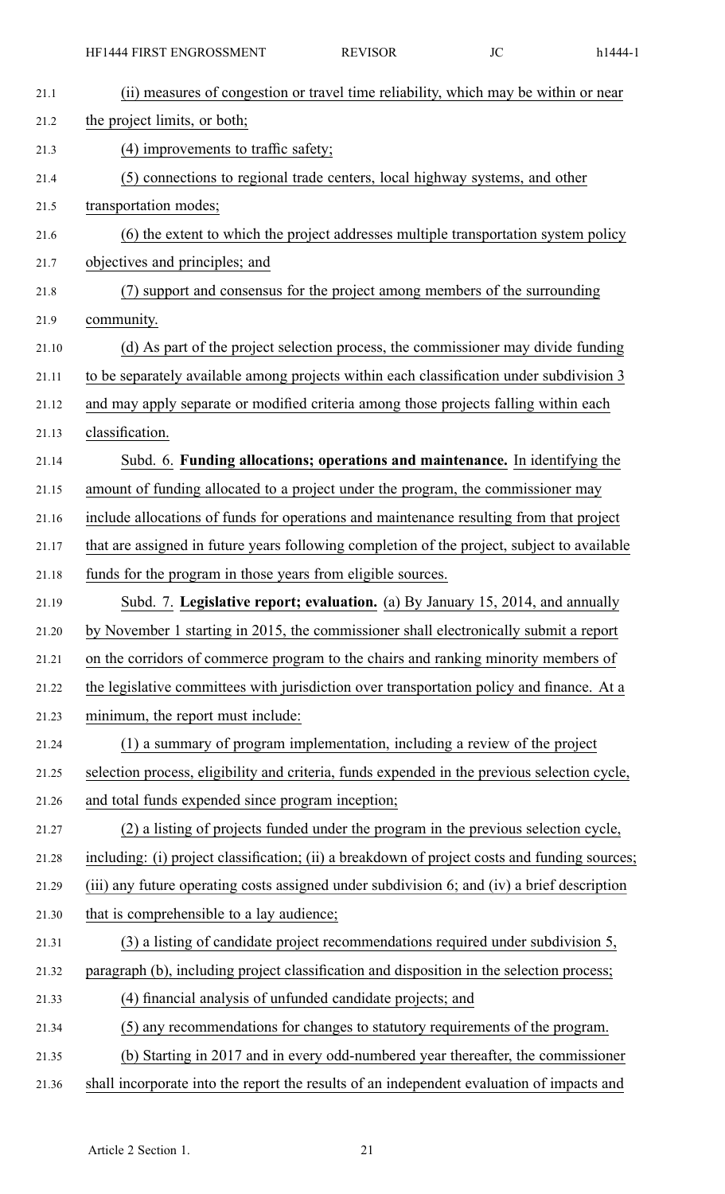| 21.1  | (ii) measures of congestion or travel time reliability, which may be within or near           |
|-------|-----------------------------------------------------------------------------------------------|
| 21.2  | the project limits, or both;                                                                  |
| 21.3  | (4) improvements to traffic safety;                                                           |
| 21.4  | (5) connections to regional trade centers, local highway systems, and other                   |
| 21.5  | transportation modes;                                                                         |
| 21.6  | (6) the extent to which the project addresses multiple transportation system policy           |
| 21.7  | objectives and principles; and                                                                |
| 21.8  | (7) support and consensus for the project among members of the surrounding                    |
| 21.9  | community.                                                                                    |
| 21.10 | (d) As part of the project selection process, the commissioner may divide funding             |
| 21.11 | to be separately available among projects within each classification under subdivision 3      |
| 21.12 | and may apply separate or modified criteria among those projects falling within each          |
| 21.13 | classification.                                                                               |
| 21.14 | Subd. 6. Funding allocations; operations and maintenance. In identifying the                  |
| 21.15 | amount of funding allocated to a project under the program, the commissioner may              |
| 21.16 | include allocations of funds for operations and maintenance resulting from that project       |
| 21.17 | that are assigned in future years following completion of the project, subject to available   |
| 21.18 | funds for the program in those years from eligible sources.                                   |
| 21.19 | Subd. 7. Legislative report; evaluation. (a) By January 15, 2014, and annually                |
| 21.20 | by November 1 starting in 2015, the commissioner shall electronically submit a report         |
| 21.21 | on the corridors of commerce program to the chairs and ranking minority members of            |
| 21.22 | the legislative committees with jurisdiction over transportation policy and finance. At a     |
| 21.23 | minimum, the report must include:                                                             |
| 21.24 | (1) a summary of program implementation, including a review of the project                    |
| 21.25 | selection process, eligibility and criteria, funds expended in the previous selection cycle,  |
| 21.26 | and total funds expended since program inception;                                             |
| 21.27 | (2) a listing of projects funded under the program in the previous selection cycle,           |
| 21.28 | including: (i) project classification; (ii) a breakdown of project costs and funding sources; |
| 21.29 | (iii) any future operating costs assigned under subdivision 6; and (iv) a brief description   |
| 21.30 | that is comprehensible to a lay audience;                                                     |
| 21.31 | (3) a listing of candidate project recommendations required under subdivision 5,              |
| 21.32 | paragraph (b), including project classification and disposition in the selection process;     |
| 21.33 | (4) financial analysis of unfunded candidate projects; and                                    |
| 21.34 | (5) any recommendations for changes to statutory requirements of the program.                 |
| 21.35 | (b) Starting in 2017 and in every odd-numbered year thereafter, the commissioner              |
| 21.36 | shall incorporate into the report the results of an independent evaluation of impacts and     |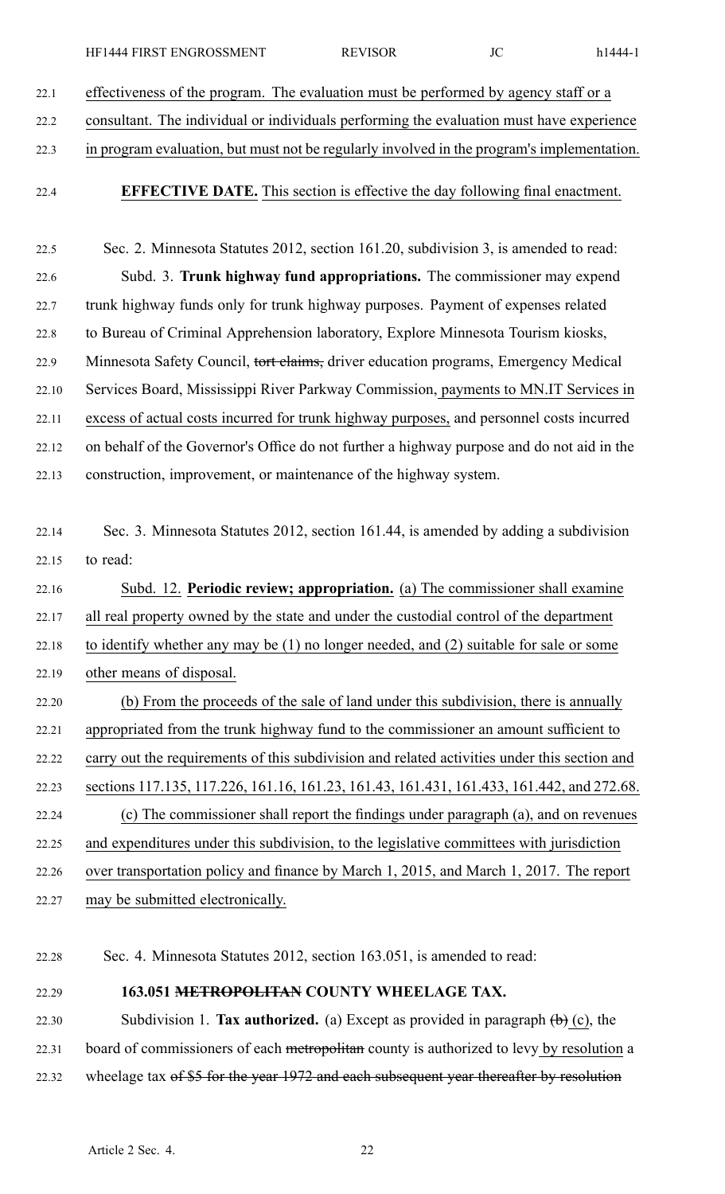22.1 effectiveness of the program. The evaluation must be performed by agency staff or <sup>a</sup>

22.2 consultant. The individual or individuals performing the evaluation must have experience

- 22.3 in program evaluation, but must not be regularly involved in the program's implementation.
	-

22.4 **EFFECTIVE DATE.** This section is effective the day following final enactment.

22.5 Sec. 2. Minnesota Statutes 2012, section 161.20, subdivision 3, is amended to read: 22.6 Subd. 3. **Trunk highway fund appropriations.** The commissioner may expend 22.7 trunk highway funds only for trunk highway purposes. Payment of expenses related 22.8 to Bureau of Criminal Apprehension laboratory, Explore Minnesota Tourism kiosks, 22.9 Minnesota Safety Council, tort claims, driver education programs, Emergency Medical 22.10 Services Board, Mississippi River Parkway Commission, payments to MN.IT Services in 22.11 excess of actual costs incurred for trunk highway purposes, and personnel costs incurred 22.12 on behalf of the Governor's Office do not further <sup>a</sup> highway purpose and do not aid in the 22.13 construction, improvement, or maintenance of the highway system.

22.14 Sec. 3. Minnesota Statutes 2012, section 161.44, is amended by adding <sup>a</sup> subdivision 22.15 to read:

22.16 Subd. 12. **Periodic review; appropriation.** (a) The commissioner shall examine 22.17 all real property owned by the state and under the custodial control of the department 22.18 to identify whether any may be (1) no longer needed, and (2) suitable for sale or some 22.19 other means of disposal. 22.20 (b) From the proceeds of the sale of land under this subdivision, there is annually

- 22.21 appropriated from the trunk highway fund to the commissioner an amount sufficient to 22.22 carry out the requirements of this subdivision and related activities under this section and 22.23 sections 117.135, 117.226, 161.16, 161.23, 161.43, 161.431, 161.433, 161.442, and 272.68. 22.24 (c) The commissioner shall repor<sup>t</sup> the findings under paragraph (a), and on revenues 22.25 and expenditures under this subdivision, to the legislative committees with jurisdiction 22.26 over transportation policy and finance by March 1, 2015, and March 1, 2017. The repor<sup>t</sup> 22.27 may be submitted electronically.
- 22.28 Sec. 4. Minnesota Statutes 2012, section 163.051, is amended to read:

22.29 **163.051 METROPOLITAN COUNTY WHEELAGE TAX.**

22.30 Subdivision 1. **Tax authorized.** (a) Except as provided in paragraph (b) (c), the 22.31 board of commissioners of each metropolitan county is authorized to levy by resolution a 22.32 wheelage tax of \$5 for the year 1972 and each subsequent year thereafter by resolution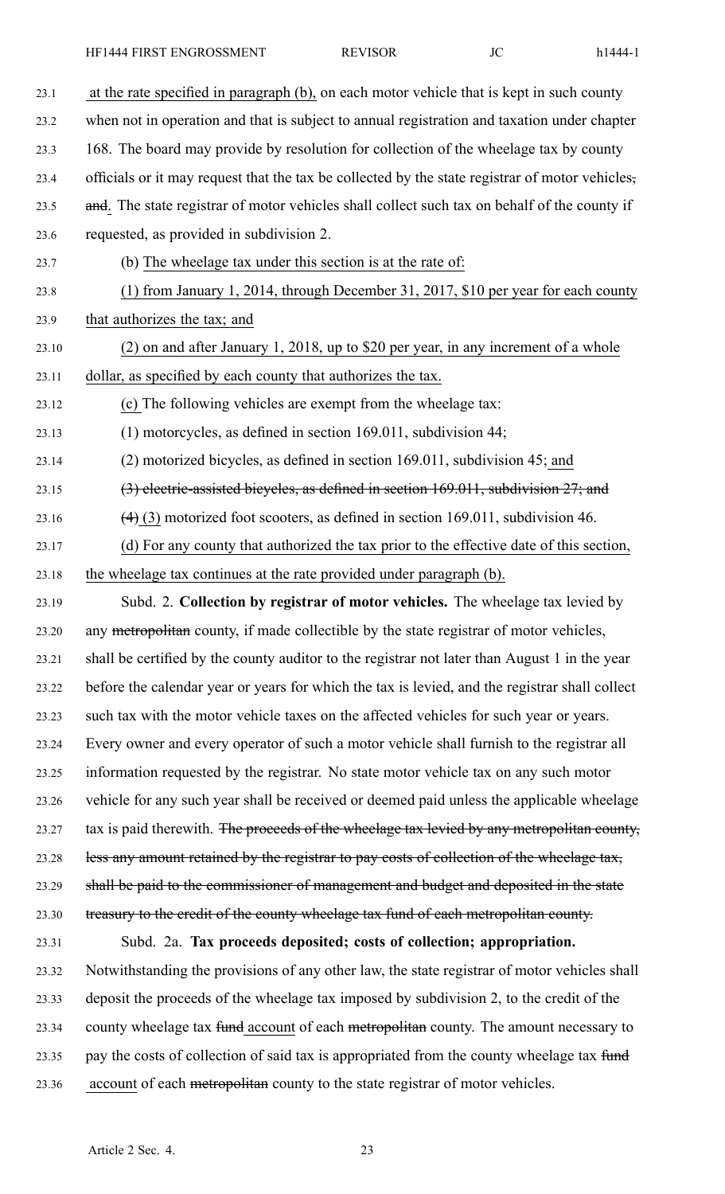23.1 at the rate specified in paragraph (b), on each motor vehicle that is kept in such county 23.2 when not in operation and that is subject to annual registration and taxation under chapter 23.3 168. The board may provide by resolution for collection of the wheelage tax by county 23.4 officials or it may reques<sup>t</sup> that the tax be collected by the state registrar of motor vehicles, 23.5 and. The state registrar of motor vehicles shall collect such tax on behalf of the county if 23.6 requested, as provided in subdivision 2. 23.7 (b) The wheelage tax under this section is at the rate of: 23.8 (1) from January 1, 2014, through December 31, 2017, \$10 per year for each county 23.9 that authorizes the tax; and 23.10 (2) on and after January 1, 2018, up to \$20 per year, in any increment of <sup>a</sup> whole 23.11 dollar, as specified by each county that authorizes the tax. 23.12 (c) The following vehicles are exemp<sup>t</sup> from the wheelage tax: 23.13 (1) motorcycles, as defined in section 169.011, subdivision 44; 23.14 (2) motorized bicycles, as defined in section 169.011, subdivision 45; and 23.15 (3) electric-assisted bicycles, as defined in section  $169.011$ , subdivision  $27$ ; and 23.16  $(4)$  (3) motorized foot scooters, as defined in section 169.011, subdivision 46. 23.17 (d) For any county that authorized the tax prior to the effective date of this section, 23.18 the wheelage tax continues at the rate provided under paragraph (b). 23.19 Subd. 2. **Collection by registrar of motor vehicles.** The wheelage tax levied by 23.20 any metropolitan county, if made collectible by the state registrar of motor vehicles, 23.21 shall be certified by the county auditor to the registrar not later than August 1 in the year 23.22 before the calendar year or years for which the tax is levied, and the registrar shall collect 23.23 such tax with the motor vehicle taxes on the affected vehicles for such year or years. 23.24 Every owner and every operator of such <sup>a</sup> motor vehicle shall furnish to the registrar all 23.25 information requested by the registrar. No state motor vehicle tax on any such motor 23.26 vehicle for any such year shall be received or deemed paid unless the applicable wheelage 23.27 tax is paid therewith. The proceeds of the wheelage tax levied by any metropolitan county, 23.28 less any amount retained by the registrar to pay costs of collection of the wheelage tax, 23.29 shall be paid to the commissioner of management and budget and deposited in the state 23.30 treasury to the credit of the county wheelage tax fund of each metropolitan county. 23.31 Subd. 2a. **Tax proceeds deposited; costs of collection; appropriation.** 23.32 Notwithstanding the provisions of any other law, the state registrar of motor vehicles shall 23.33 deposit the proceeds of the wheelage tax imposed by subdivision 2, to the credit of the

23.34 county wheelage tax fund account of each metropolitan county. The amount necessary to 23.35 pay the costs of collection of said tax is appropriated from the county wheelage tax fund 23.36 account of each metropolitan county to the state registrar of motor vehicles.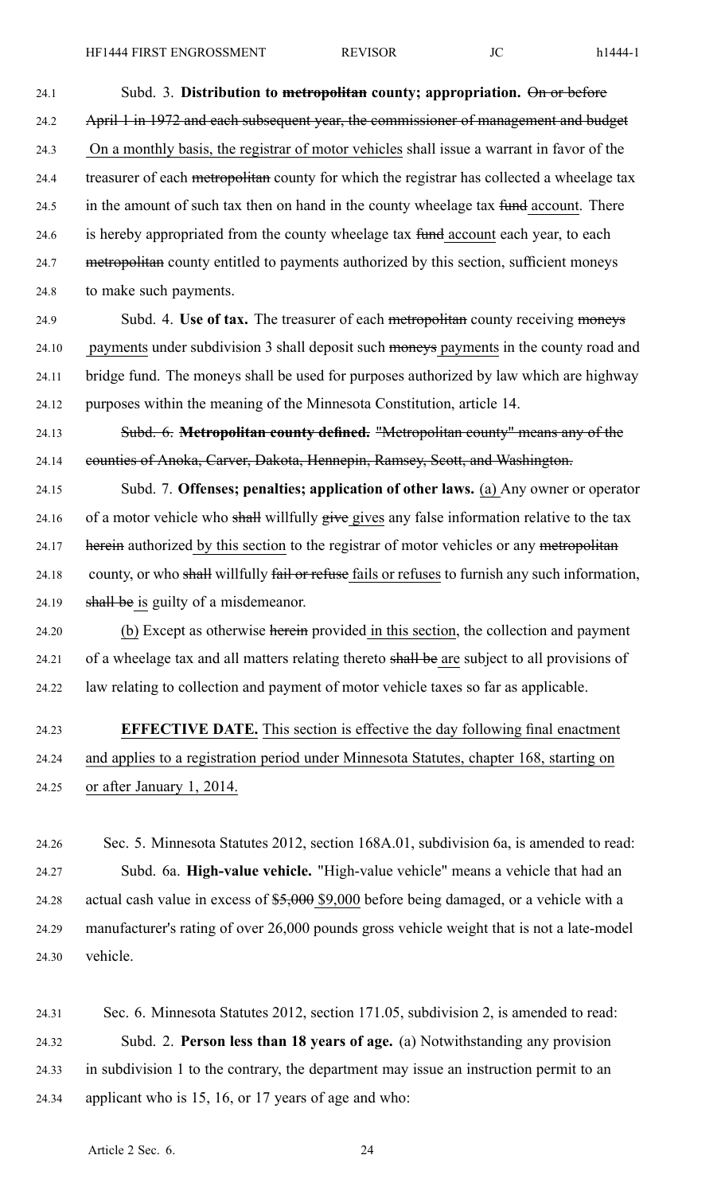24.1 Subd. 3. **Distribution to metropolitan county; appropriation.** On or before 24.2 April 1 in 1972 and each subsequent year, the commissioner of management and budget 24.3 On <sup>a</sup> monthly basis, the registrar of motor vehicles shall issue <sup>a</sup> warrant in favor of the 24.4 treasurer of each metropolitan county for which the registrar has collected a wheelage tax 24.5 in the amount of such tax then on hand in the county wheelage tax fund account. There 24.6 is hereby appropriated from the county wheelage tax fund account each year, to each 24.7 metropolitan county entitled to payments authorized by this section, sufficient moneys 24.8 to make such payments.

24.9 Subd. 4. **Use of tax.** The treasurer of each metropolitan county receiving moneys 24.10 payments under subdivision 3 shall deposit such moneys payments in the county road and 24.11 bridge fund. The moneys shall be used for purposes authorized by law which are highway 24.12 purposes within the meaning of the Minnesota Constitution, article 14.

24.13 Subd. 6. **Metropolitan county defined.** "Metropolitan county" means any of the 24.14 counties of Anoka, Carver, Dakota, Hennepin, Ramsey, Scott, and Washington.

24.15 Subd. 7. **Offenses; penalties; application of other laws.** (a) Any owner or operator 24.16 of a motor vehicle who shall willfully give gives any false information relative to the tax 24.17 herein authorized by this section to the registrar of motor vehicles or any metropolitan 24.18 county, or who shall willfully fail or refuse fails or refuses to furnish any such information, 24.19 shall be is guilty of a misdemeanor.

24.20 (b) Except as otherwise herein provided in this section, the collection and paymen<sup>t</sup> 24.21 of a wheelage tax and all matters relating thereto shall be are subject to all provisions of 24.22 law relating to collection and paymen<sup>t</sup> of motor vehicle taxes so far as applicable.

24.23 **EFFECTIVE DATE.** This section is effective the day following final enactment 24.24 and applies to <sup>a</sup> registration period under Minnesota Statutes, chapter 168, starting on 24.25 or after January 1, 2014.

24.26 Sec. 5. Minnesota Statutes 2012, section 168A.01, subdivision 6a, is amended to read: 24.27 Subd. 6a. **High-value vehicle.** "High-value vehicle" means <sup>a</sup> vehicle that had an 24.28 actual cash value in excess of \$5,000 \$9,000 before being damaged, or a vehicle with a 24.29 manufacturer's rating of over 26,000 pounds gross vehicle weight that is not <sup>a</sup> late-model 24.30 vehicle.

24.31 Sec. 6. Minnesota Statutes 2012, section 171.05, subdivision 2, is amended to read: 24.32 Subd. 2. **Person less than 18 years of age.** (a) Notwithstanding any provision 24.33 in subdivision 1 to the contrary, the department may issue an instruction permit to an 24.34 applicant who is 15, 16, or 17 years of age and who: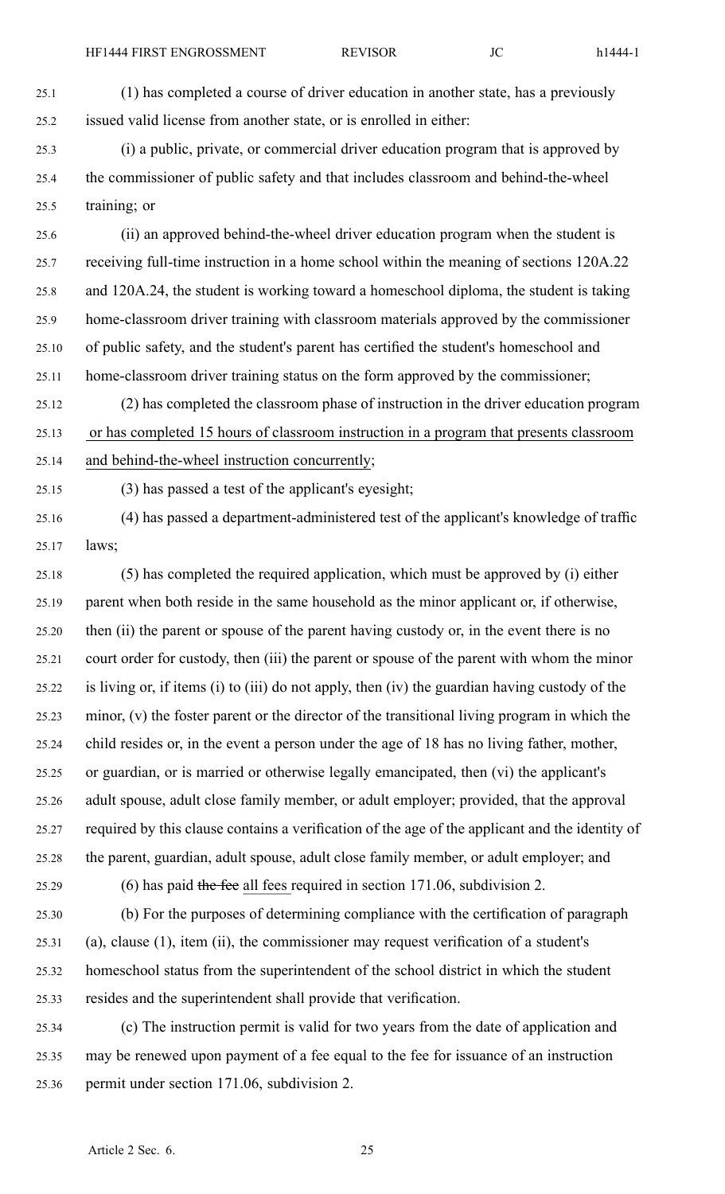25.1 (1) has completed <sup>a</sup> course of driver education in another state, has <sup>a</sup> previously 25.2 issued valid license from another state, or is enrolled in either:

25.3 (i) <sup>a</sup> public, private, or commercial driver education program that is approved by 25.4 the commissioner of public safety and that includes classroom and behind-the-wheel 25.5 training; or

25.6 (ii) an approved behind-the-wheel driver education program when the student is 25.7 receiving full-time instruction in <sup>a</sup> home school within the meaning of sections 120A.22 25.8 and 120A.24, the student is working toward <sup>a</sup> homeschool diploma, the student is taking 25.9 home-classroom driver training with classroom materials approved by the commissioner 25.10 of public safety, and the student's paren<sup>t</sup> has certified the student's homeschool and 25.11 home-classroom driver training status on the form approved by the commissioner;

25.12 (2) has completed the classroom phase of instruction in the driver education program 25.13 or has completed 15 hours of classroom instruction in <sup>a</sup> program that presents classroom 25.14 and behind-the-wheel instruction concurrently;

25.15 (3) has passed <sup>a</sup> test of the applicant's eyesight;

25.16 (4) has passed <sup>a</sup> department-administered test of the applicant's knowledge of traffic 25.17 laws;

25.18 (5) has completed the required application, which must be approved by (i) either 25.19 paren<sup>t</sup> when both reside in the same household as the minor applicant or, if otherwise, 25.20 then (ii) the paren<sup>t</sup> or spouse of the paren<sup>t</sup> having custody or, in the event there is no 25.21 court order for custody, then (iii) the paren<sup>t</sup> or spouse of the paren<sup>t</sup> with whom the minor 25.22 is living or, if items (i) to (iii) do not apply, then (iv) the guardian having custody of the 25.23 minor, (v) the foster paren<sup>t</sup> or the director of the transitional living program in which the 25.24 child resides or, in the event <sup>a</sup> person under the age of 18 has no living father, mother, 25.25 or guardian, or is married or otherwise legally emancipated, then (vi) the applicant's 25.26 adult spouse, adult close family member, or adult employer; provided, that the approval 25.27 required by this clause contains <sup>a</sup> verification of the age of the applicant and the identity of 25.28 the parent, guardian, adult spouse, adult close family member, or adult employer; and

25.29 (6) has paid the fee all fees required in section 171.06, subdivision 2.

25.30 (b) For the purposes of determining compliance with the certification of paragraph 25.31 (a), clause (1), item (ii), the commissioner may reques<sup>t</sup> verification of <sup>a</sup> student's 25.32 homeschool status from the superintendent of the school district in which the student 25.33 resides and the superintendent shall provide that verification.

25.34 (c) The instruction permit is valid for two years from the date of application and 25.35 may be renewed upon paymen<sup>t</sup> of <sup>a</sup> fee equal to the fee for issuance of an instruction 25.36 permit under section 171.06, subdivision 2.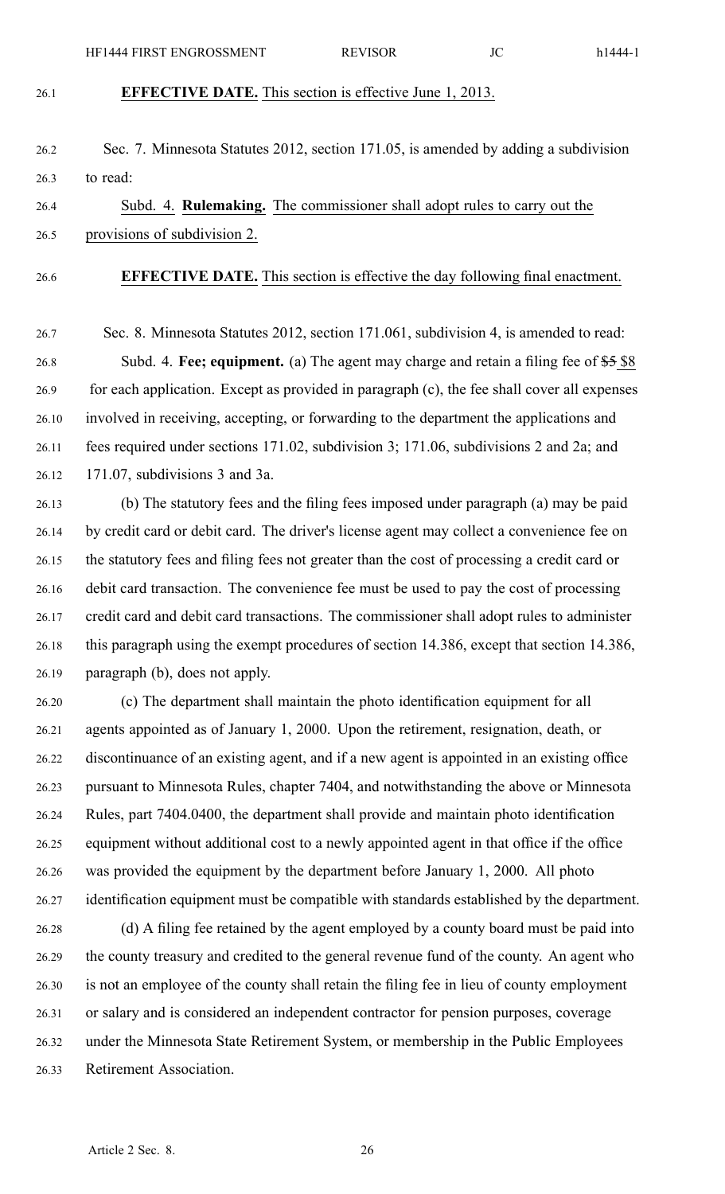26.1 **EFFECTIVE DATE.** This section is effective June 1, 2013.

26.2 Sec. 7. Minnesota Statutes 2012, section 171.05, is amended by adding <sup>a</sup> subdivision 26.3 to read:

# 26.4 Subd. 4. **Rulemaking.** The commissioner shall adopt rules to carry out the 26.5 provisions of subdivision 2.

26.6 **EFFECTIVE DATE.** This section is effective the day following final enactment.

26.7 Sec. 8. Minnesota Statutes 2012, section 171.061, subdivision 4, is amended to read: 26.8 Subd. 4. **Fee; equipment.** (a) The agen<sup>t</sup> may charge and retain <sup>a</sup> filing fee of \$5 \$8 26.9 for each application. Except as provided in paragraph (c), the fee shall cover all expenses 26.10 involved in receiving, accepting, or forwarding to the department the applications and 26.11 fees required under sections 171.02, subdivision 3; 171.06, subdivisions 2 and 2a; and 26.12 171.07, subdivisions 3 and 3a.

26.13 (b) The statutory fees and the filing fees imposed under paragraph (a) may be paid 26.14 by credit card or debit card. The driver's license agen<sup>t</sup> may collect <sup>a</sup> convenience fee on 26.15 the statutory fees and filing fees not greater than the cost of processing <sup>a</sup> credit card or 26.16 debit card transaction. The convenience fee must be used to pay the cost of processing 26.17 credit card and debit card transactions. The commissioner shall adopt rules to administer 26.18 this paragraph using the exemp<sup>t</sup> procedures of section 14.386, excep<sup>t</sup> that section 14.386, 26.19 paragraph (b), does not apply.

26.20 (c) The department shall maintain the photo identification equipment for all 26.21 agents appointed as of January 1, 2000. Upon the retirement, resignation, death, or 26.22 discontinuance of an existing agent, and if <sup>a</sup> new agen<sup>t</sup> is appointed in an existing office 26.23 pursuan<sup>t</sup> to Minnesota Rules, chapter 7404, and notwithstanding the above or Minnesota 26.24 Rules, par<sup>t</sup> 7404.0400, the department shall provide and maintain photo identification 26.25 equipment without additional cost to <sup>a</sup> newly appointed agen<sup>t</sup> in that office if the office 26.26 was provided the equipment by the department before January 1, 2000. All photo 26.27 identification equipment must be compatible with standards established by the department.

26.28 (d) A filing fee retained by the agen<sup>t</sup> employed by <sup>a</sup> county board must be paid into 26.29 the county treasury and credited to the general revenue fund of the county. An agen<sup>t</sup> who 26.30 is not an employee of the county shall retain the filing fee in lieu of county employment 26.31 or salary and is considered an independent contractor for pension purposes, coverage 26.32 under the Minnesota State Retirement System, or membership in the Public Employees 26.33 Retirement Association.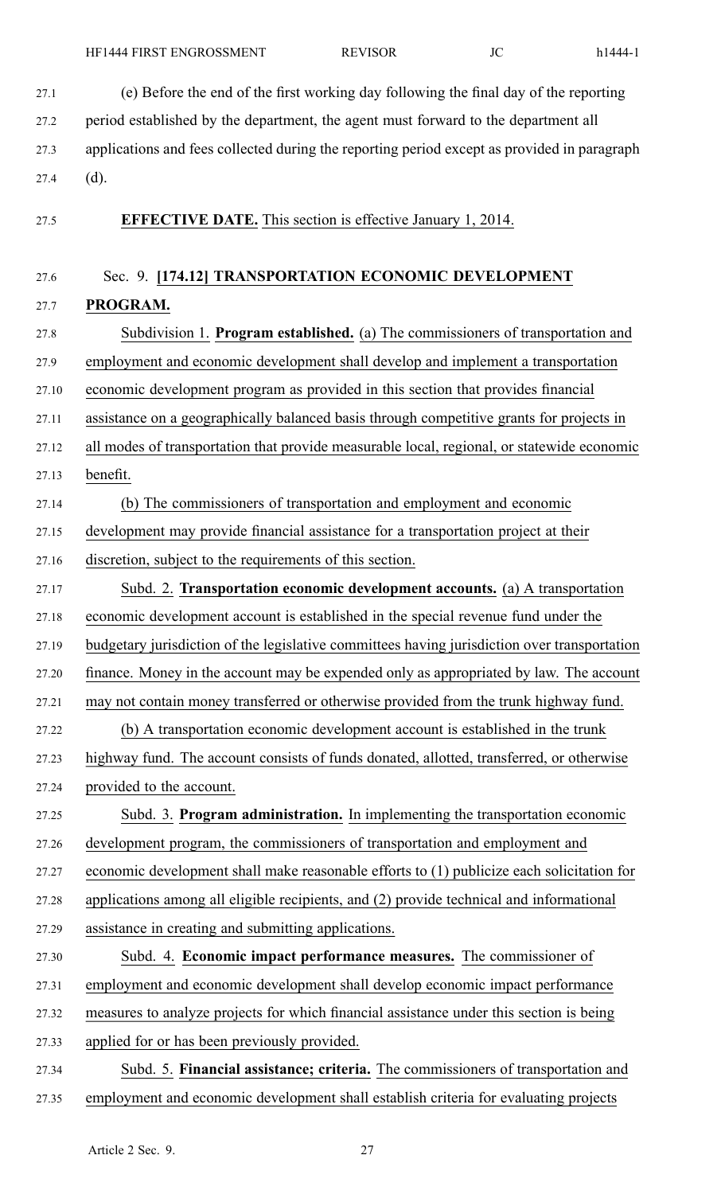HF1444 FIRST ENGROSSMENT REVISOR JC h1444-1 27.1 (e) Before the end of the first working day following the final day of the reporting 27.2 period established by the department, the agen<sup>t</sup> must forward to the department all 27.3 applications and fees collected during the reporting period excep<sup>t</sup> as provided in paragraph 27.4 (d). 27.5 **EFFECTIVE DATE.** This section is effective January 1, 2014. 27.6 Sec. 9. **[174.12] TRANSPORTATION ECONOMIC DEVELOPMENT** 27.7 **PROGRAM.** 27.8 Subdivision 1. **Program established.** (a) The commissioners of transportation and 27.9 employment and economic development shall develop and implement <sup>a</sup> transportation 27.10 economic development program as provided in this section that provides financial 27.11 assistance on <sup>a</sup> geographically balanced basis through competitive grants for projects in 27.12 all modes of transportation that provide measurable local, regional, or statewide economic 27.13 benefit. 27.14 (b) The commissioners of transportation and employment and economic 27.15 development may provide financial assistance for <sup>a</sup> transportation project at their 27.16 discretion, subject to the requirements of this section. 27.17 Subd. 2. **Transportation economic development accounts.** (a) A transportation 27.18 economic development account is established in the special revenue fund under the 27.19 budgetary jurisdiction of the legislative committees having jurisdiction over transportation 27.20 finance. Money in the account may be expended only as appropriated by law. The account 27.21 may not contain money transferred or otherwise provided from the trunk highway fund. 27.22 (b) A transportation economic development account is established in the trunk 27.23 highway fund. The account consists of funds donated, allotted, transferred, or otherwise 27.24 provided to the account.

27.25 Subd. 3. **Program administration.** In implementing the transportation economic 27.26 development program, the commissioners of transportation and employment and 27.27 economic development shall make reasonable efforts to (1) publicize each solicitation for 27.28 applications among all eligible recipients, and (2) provide technical and informational

27.29 assistance in creating and submitting applications.

27.30 Subd. 4. **Economic impact performance measures.** The commissioner of 27.31 employment and economic development shall develop economic impact performance 27.32 measures to analyze projects for which financial assistance under this section is being 27.33 applied for or has been previously provided.

27.34 Subd. 5. **Financial assistance; criteria.** The commissioners of transportation and 27.35 employment and economic development shall establish criteria for evaluating projects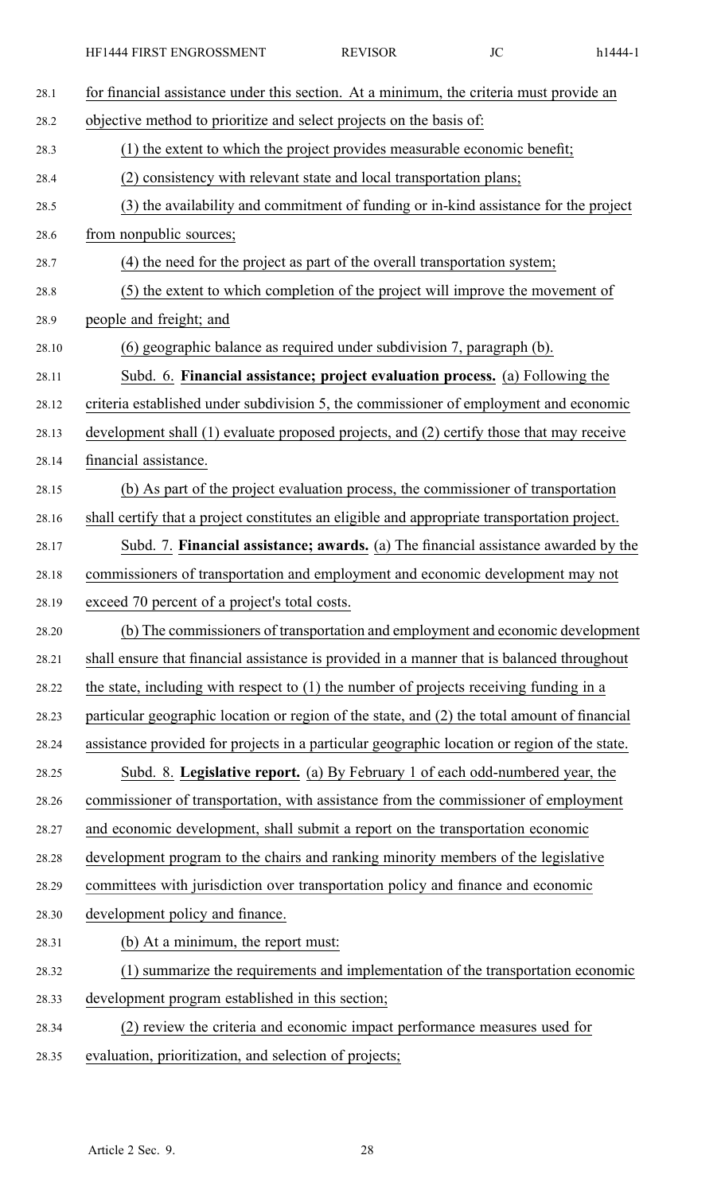| 28.1  | for financial assistance under this section. At a minimum, the criteria must provide an      |  |  |
|-------|----------------------------------------------------------------------------------------------|--|--|
| 28.2  | objective method to prioritize and select projects on the basis of:                          |  |  |
| 28.3  | (1) the extent to which the project provides measurable economic benefit;                    |  |  |
| 28.4  | (2) consistency with relevant state and local transportation plans;                          |  |  |
| 28.5  | (3) the availability and commitment of funding or in-kind assistance for the project         |  |  |
| 28.6  | from nonpublic sources;                                                                      |  |  |
| 28.7  | (4) the need for the project as part of the overall transportation system;                   |  |  |
| 28.8  | (5) the extent to which completion of the project will improve the movement of               |  |  |
| 28.9  | people and freight; and                                                                      |  |  |
| 28.10 | (6) geographic balance as required under subdivision 7, paragraph (b).                       |  |  |
| 28.11 | Subd. 6. Financial assistance; project evaluation process. (a) Following the                 |  |  |
| 28.12 | criteria established under subdivision 5, the commissioner of employment and economic        |  |  |
| 28.13 | development shall (1) evaluate proposed projects, and (2) certify those that may receive     |  |  |
| 28.14 | financial assistance.                                                                        |  |  |
| 28.15 | (b) As part of the project evaluation process, the commissioner of transportation            |  |  |
| 28.16 | shall certify that a project constitutes an eligible and appropriate transportation project. |  |  |
| 28.17 | Subd. 7. Financial assistance; awards. (a) The financial assistance awarded by the           |  |  |
| 28.18 | commissioners of transportation and employment and economic development may not              |  |  |
| 28.19 | exceed 70 percent of a project's total costs.                                                |  |  |
| 28.20 | (b) The commissioners of transportation and employment and economic development              |  |  |
| 28.21 | shall ensure that financial assistance is provided in a manner that is balanced throughout   |  |  |
| 28.22 | the state, including with respect to $(1)$ the number of projects receiving funding in a     |  |  |
| 28.23 | particular geographic location or region of the state, and (2) the total amount of financial |  |  |
| 28.24 | assistance provided for projects in a particular geographic location or region of the state. |  |  |
| 28.25 | Subd. 8. Legislative report. (a) By February 1 of each odd-numbered year, the                |  |  |
| 28.26 | commissioner of transportation, with assistance from the commissioner of employment          |  |  |
| 28.27 | and economic development, shall submit a report on the transportation economic               |  |  |
| 28.28 | development program to the chairs and ranking minority members of the legislative            |  |  |
| 28.29 | committees with jurisdiction over transportation policy and finance and economic             |  |  |
| 28.30 | development policy and finance.                                                              |  |  |
| 28.31 | (b) At a minimum, the report must:                                                           |  |  |
| 28.32 | (1) summarize the requirements and implementation of the transportation economic             |  |  |
| 28.33 | development program established in this section;                                             |  |  |
| 28.34 | (2) review the criteria and economic impact performance measures used for                    |  |  |
| 28.35 | evaluation, prioritization, and selection of projects;                                       |  |  |
|       |                                                                                              |  |  |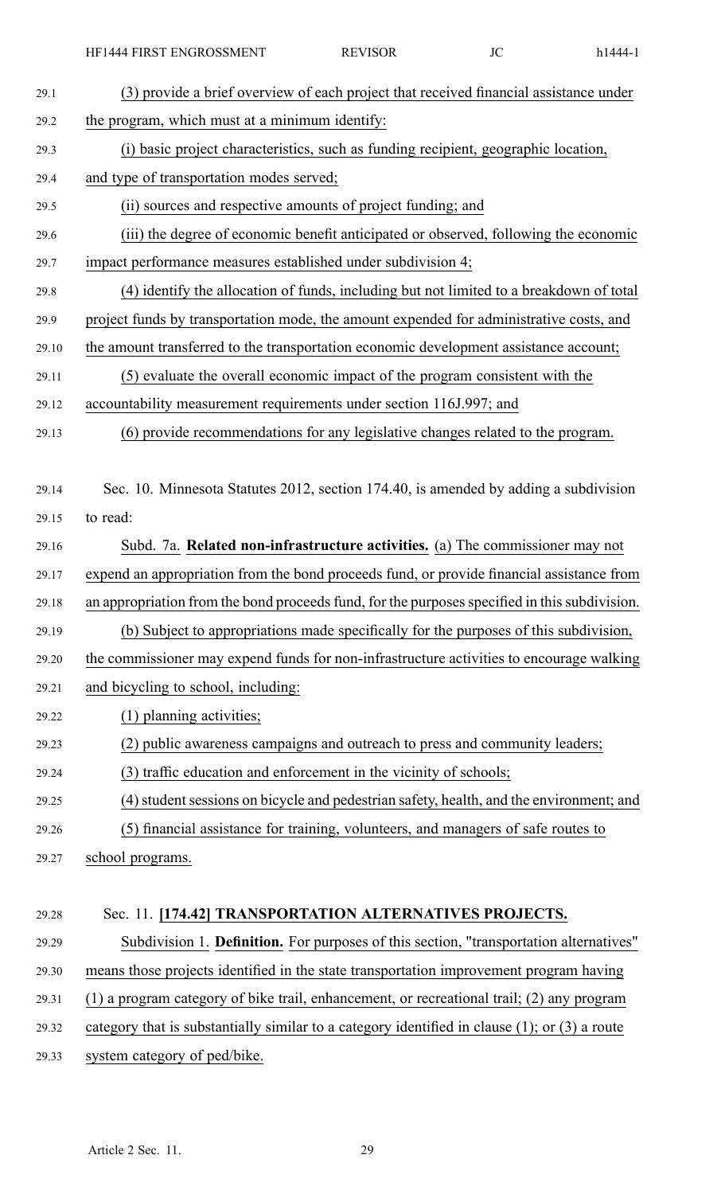| 29.1  | (3) provide a brief overview of each project that received financial assistance under              |
|-------|----------------------------------------------------------------------------------------------------|
| 29.2  | the program, which must at a minimum identify:                                                     |
| 29.3  | (i) basic project characteristics, such as funding recipient, geographic location,                 |
| 29.4  | and type of transportation modes served;                                                           |
| 29.5  | (ii) sources and respective amounts of project funding; and                                        |
| 29.6  | (iii) the degree of economic benefit anticipated or observed, following the economic               |
| 29.7  | impact performance measures established under subdivision 4;                                       |
| 29.8  | (4) identify the allocation of funds, including but not limited to a breakdown of total            |
| 29.9  | project funds by transportation mode, the amount expended for administrative costs, and            |
| 29.10 | the amount transferred to the transportation economic development assistance account;              |
| 29.11 | (5) evaluate the overall economic impact of the program consistent with the                        |
| 29.12 | accountability measurement requirements under section 116J.997; and                                |
| 29.13 | (6) provide recommendations for any legislative changes related to the program.                    |
|       |                                                                                                    |
| 29.14 | Sec. 10. Minnesota Statutes 2012, section 174.40, is amended by adding a subdivision               |
| 29.15 | to read:                                                                                           |
| 29.16 | Subd. 7a. Related non-infrastructure activities. (a) The commissioner may not                      |
| 29.17 | expend an appropriation from the bond proceeds fund, or provide financial assistance from          |
| 29.18 | an appropriation from the bond proceeds fund, for the purposes specified in this subdivision.      |
| 29.19 | (b) Subject to appropriations made specifically for the purposes of this subdivision,              |
| 29.20 | the commissioner may expend funds for non-infrastructure activities to encourage walking           |
| 29.21 | and bicycling to school, including:                                                                |
| 29.22 | (1) planning activities;                                                                           |
| 29.23 | (2) public awareness campaigns and outreach to press and community leaders;                        |
| 29.24 | (3) traffic education and enforcement in the vicinity of schools;                                  |
| 29.25 | (4) student sessions on bicycle and pedestrian safety, health, and the environment; and            |
| 29.26 | (5) financial assistance for training, volunteers, and managers of safe routes to                  |
| 29.27 | school programs.                                                                                   |
|       |                                                                                                    |
| 29.28 | Sec. 11. [174.42] TRANSPORTATION ALTERNATIVES PROJECTS.                                            |
| 29.29 | Subdivision 1. Definition. For purposes of this section, "transportation alternatives"             |
| 29.30 | means those projects identified in the state transportation improvement program having             |
| 29.31 | (1) a program category of bike trail, enhancement, or recreational trail; (2) any program          |
| 29.32 | category that is substantially similar to a category identified in clause $(1)$ ; or $(3)$ a route |
| 29.33 | system category of ped/bike.                                                                       |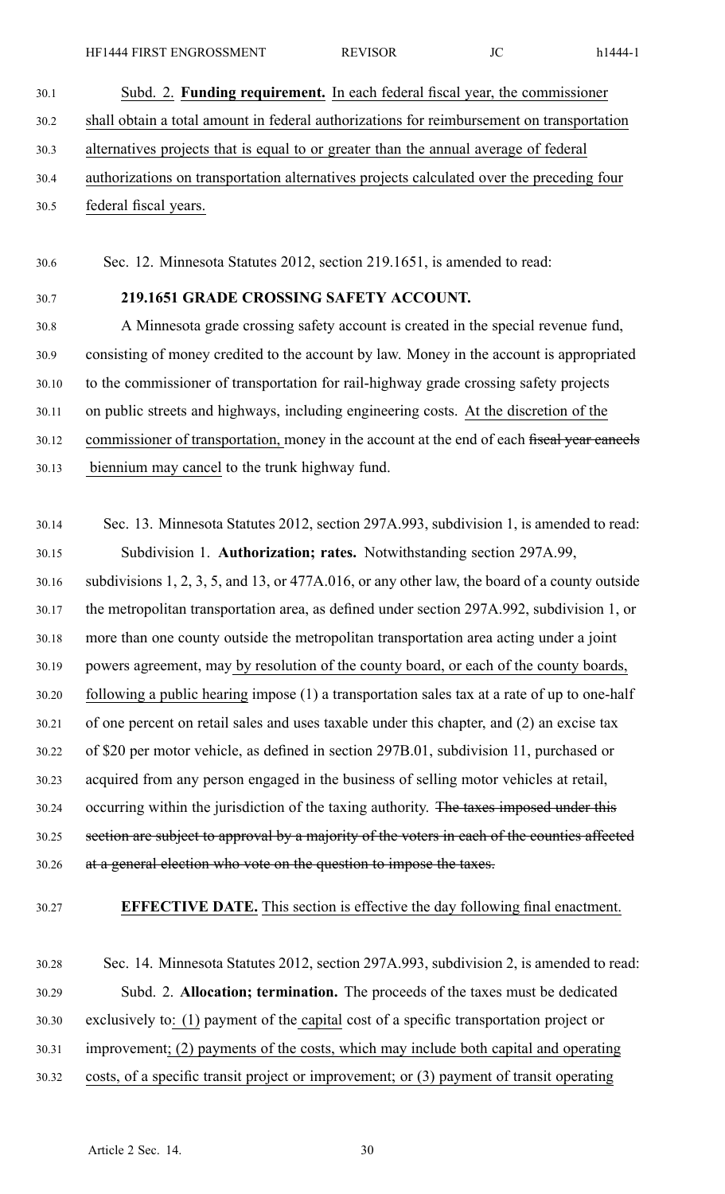- 30.1 Subd. 2. **Funding requirement.** In each federal fiscal year, the commissioner 30.2 shall obtain <sup>a</sup> total amount in federal authorizations for reimbursement on transportation 30.3 alternatives projects that is equal to or greater than the annual average of federal 30.4 authorizations on transportation alternatives projects calculated over the preceding four
- 30.5 federal fiscal years.

30.6 Sec. 12. Minnesota Statutes 2012, section 219.1651, is amended to read:

30.7 **219.1651 GRADE CROSSING SAFETY ACCOUNT.**

30.8 A Minnesota grade crossing safety account is created in the special revenue fund, 30.9 consisting of money credited to the account by law. Money in the account is appropriated 30.10 to the commissioner of transportation for rail-highway grade crossing safety projects 30.11 on public streets and highways, including engineering costs. At the discretion of the 30.12 commissioner of transportation, money in the account at the end of each fiscal year cancels 30.13 biennium may cancel to the trunk highway fund.

30.14 Sec. 13. Minnesota Statutes 2012, section 297A.993, subdivision 1, is amended to read: 30.15 Subdivision 1. **Authorization; rates.** Notwithstanding section 297A.99, 30.16 subdivisions 1, 2, 3, 5, and 13, or 477A.016, or any other law, the board of <sup>a</sup> county outside 30.17 the metropolitan transportation area, as defined under section 297A.992, subdivision 1, or 30.18 more than one county outside the metropolitan transportation area acting under <sup>a</sup> joint 30.19 powers agreement, may by resolution of the county board, or each of the county boards, 30.20 following <sup>a</sup> public hearing impose (1) <sup>a</sup> transportation sales tax at <sup>a</sup> rate of up to one-half 30.21 of one percen<sup>t</sup> on retail sales and uses taxable under this chapter, and (2) an excise tax 30.22 of \$20 per motor vehicle, as defined in section 297B.01, subdivision 11, purchased or 30.23 acquired from any person engaged in the business of selling motor vehicles at retail, 30.24 occurring within the jurisdiction of the taxing authority. The taxes imposed under this 30.25 section are subject to approval by a majority of the voters in each of the counties affected 30.26 at <sup>a</sup> general election who vote on the question to impose the taxes.

30.27 **EFFECTIVE DATE.** This section is effective the day following final enactment.

30.28 Sec. 14. Minnesota Statutes 2012, section 297A.993, subdivision 2, is amended to read: 30.29 Subd. 2. **Allocation; termination.** The proceeds of the taxes must be dedicated 30.30 exclusively to: (1) paymen<sup>t</sup> of the capital cost of <sup>a</sup> specific transportation project or 30.31 improvement; (2) payments of the costs, which may include both capital and operating 30.32 costs, of <sup>a</sup> specific transit project or improvement; or (3) paymen<sup>t</sup> of transit operating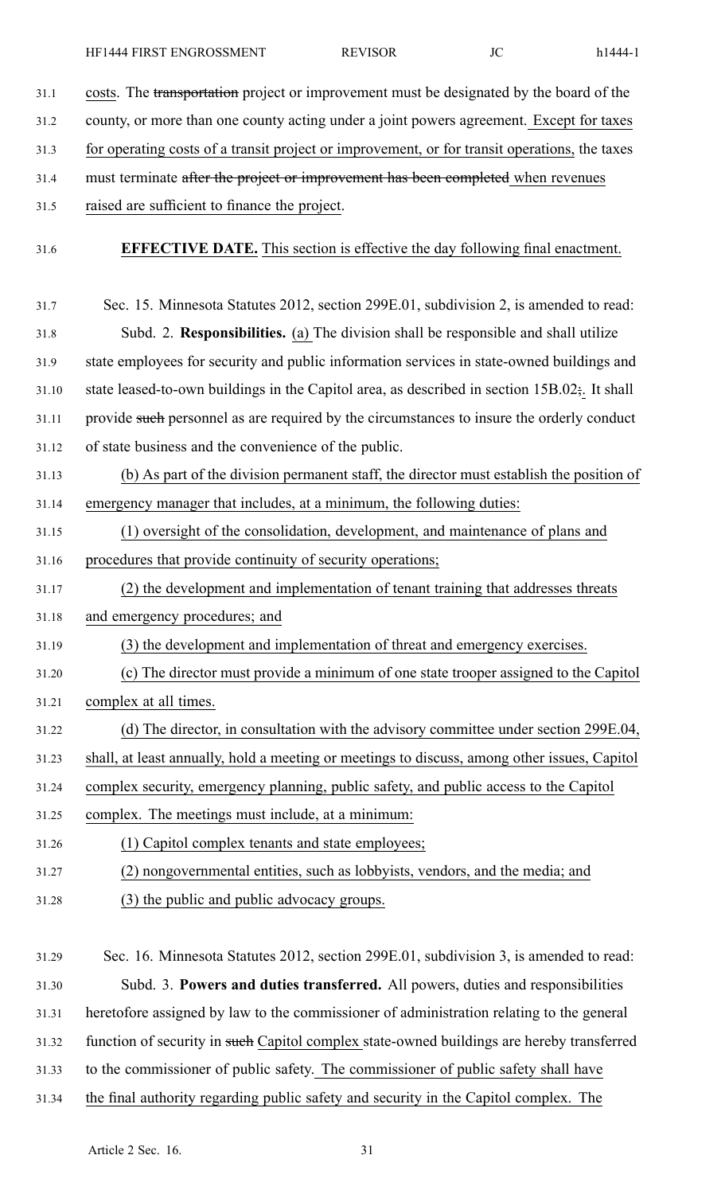31.1 costs. The transportation project or improvement must be designated by the board of the 31.2 county, or more than one county acting under <sup>a</sup> joint powers agreement. Except for taxes 31.3 for operating costs of <sup>a</sup> transit project or improvement, or for transit operations, the taxes 31.4 must terminate after the project or improvement has been completed when revenues 31.5 raised are sufficient to finance the project.

### 31.6 **EFFECTIVE DATE.** This section is effective the day following final enactment.

31.7 Sec. 15. Minnesota Statutes 2012, section 299E.01, subdivision 2, is amended to read: 31.8 Subd. 2. **Responsibilities.** (a) The division shall be responsible and shall utilize 31.9 state employees for security and public information services in state-owned buildings and 31.10 state leased-to-own buildings in the Capitol area, as described in section 15B.02;. It shall 31.11 provide such personnel as are required by the circumstances to insure the orderly conduct 31.12 of state business and the convenience of the public. 31.13 (b) As par<sup>t</sup> of the division permanen<sup>t</sup> staff, the director must establish the position of 31.14 emergency manager that includes, at <sup>a</sup> minimum, the following duties: 31.15 (1) oversight of the consolidation, development, and maintenance of plans and 31.16 procedures that provide continuity of security operations; 31.17 (2) the development and implementation of tenant training that addresses threats 31.18 and emergency procedures; and 31.19 (3) the development and implementation of threat and emergency exercises. 31.20 (c) The director must provide <sup>a</sup> minimum of one state trooper assigned to the Capitol 31.21 complex at all times. 31.22 (d) The director, in consultation with the advisory committee under section 299E.04, 31.23 shall, at least annually, hold <sup>a</sup> meeting or meetings to discuss, among other issues, Capitol 31.24 complex security, emergency planning, public safety, and public access to the Capitol 31.25 complex. The meetings must include, at <sup>a</sup> minimum:

- 31.26 (1) Capitol complex tenants and state employees;
- 31.27 (2) nongovernmental entities, such as lobbyists, vendors, and the media; and
- 31.28 (3) the public and public advocacy groups.

31.29 Sec. 16. Minnesota Statutes 2012, section 299E.01, subdivision 3, is amended to read: 31.30 Subd. 3. **Powers and duties transferred.** All powers, duties and responsibilities 31.31 heretofore assigned by law to the commissioner of administration relating to the general 31.32 function of security in such Capitol complex state-owned buildings are hereby transferred 31.33 to the commissioner of public safety. The commissioner of public safety shall have 31.34 the final authority regarding public safety and security in the Capitol complex. The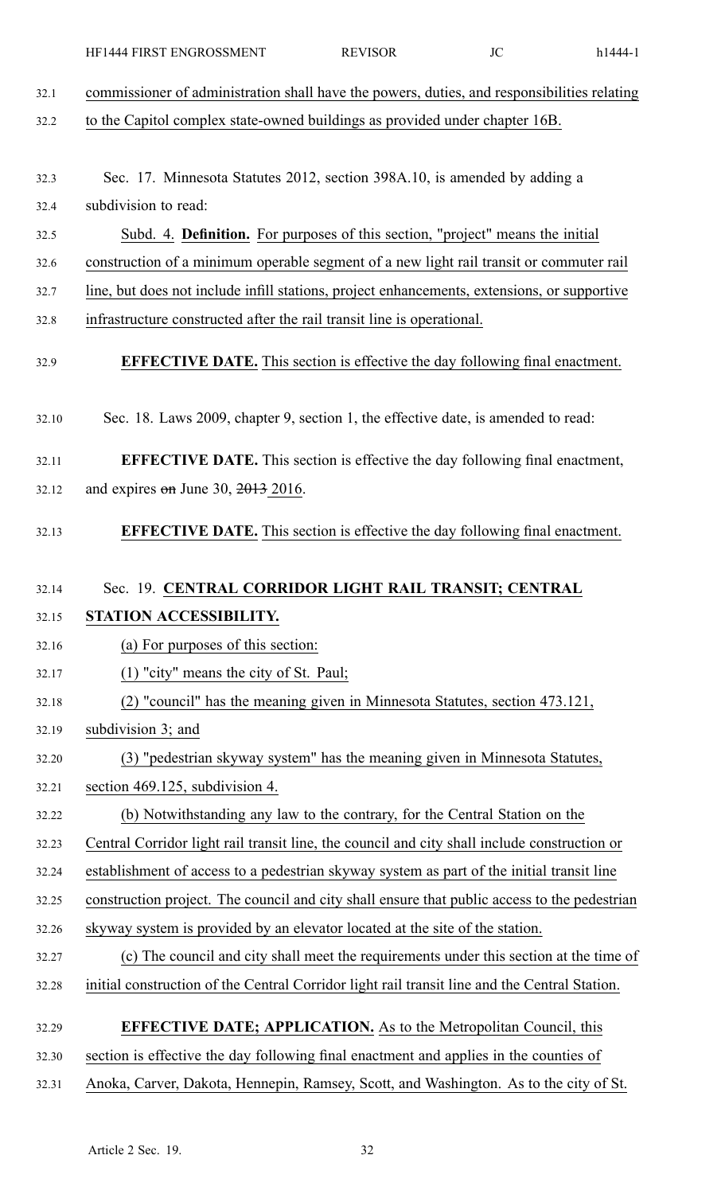| 32.1  | commissioner of administration shall have the powers, duties, and responsibilities relating   |
|-------|-----------------------------------------------------------------------------------------------|
| 32.2  | to the Capitol complex state-owned buildings as provided under chapter 16B.                   |
|       |                                                                                               |
| 32.3  | Sec. 17. Minnesota Statutes 2012, section 398A.10, is amended by adding a                     |
| 32.4  | subdivision to read:                                                                          |
| 32.5  | Subd. 4. Definition. For purposes of this section, "project" means the initial                |
| 32.6  | construction of a minimum operable segment of a new light rail transit or commuter rail       |
| 32.7  | line, but does not include infill stations, project enhancements, extensions, or supportive   |
| 32.8  | infrastructure constructed after the rail transit line is operational.                        |
| 32.9  | <b>EFFECTIVE DATE.</b> This section is effective the day following final enactment.           |
|       |                                                                                               |
| 32.10 | Sec. 18. Laws 2009, chapter 9, section 1, the effective date, is amended to read:             |
| 32.11 | <b>EFFECTIVE DATE.</b> This section is effective the day following final enactment,           |
| 32.12 | and expires $\theta$ m June 30, 2013 2016.                                                    |
|       |                                                                                               |
| 32.13 | <b>EFFECTIVE DATE.</b> This section is effective the day following final enactment.           |
|       |                                                                                               |
| 32.14 | Sec. 19. CENTRAL CORRIDOR LIGHT RAIL TRANSIT; CENTRAL                                         |
| 32.15 | STATION ACCESSIBILITY.                                                                        |
| 32.16 | (a) For purposes of this section:                                                             |
| 32.17 | $(1)$ "city" means the city of St. Paul;                                                      |
| 32.18 | (2) "council" has the meaning given in Minnesota Statutes, section 473.121,                   |
| 32.19 | subdivision 3; and                                                                            |
| 32.20 | (3) "pedestrian skyway system" has the meaning given in Minnesota Statutes,                   |
| 32.21 | section 469.125, subdivision 4.                                                               |
| 32.22 | (b) Notwithstanding any law to the contrary, for the Central Station on the                   |
| 32.23 | Central Corridor light rail transit line, the council and city shall include construction or  |
| 32.24 | establishment of access to a pedestrian skyway system as part of the initial transit line     |
| 32.25 | construction project. The council and city shall ensure that public access to the pedestrian  |
| 32.26 | skyway system is provided by an elevator located at the site of the station.                  |
| 32.27 | (c) The council and city shall meet the requirements under this section at the time of        |
| 32.28 | initial construction of the Central Corridor light rail transit line and the Central Station. |

32.29 **EFFECTIVE DATE; APPLICATION.** As to the Metropolitan Council, this

- 32.30 section is effective the day following final enactment and applies in the counties of
- 32.31 Anoka, Carver, Dakota, Hennepin, Ramsey, Scott, and Washington. As to the city of St.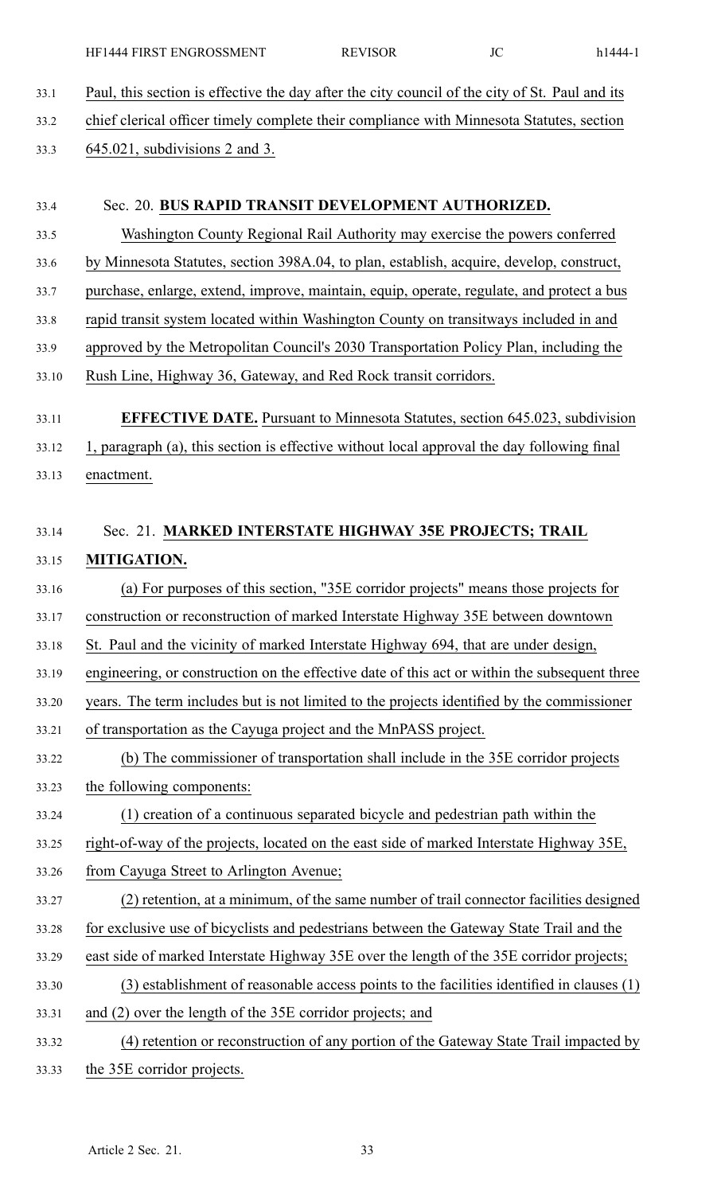- 33.1 Paul, this section is effective the day after the city council of the city of St. Paul and its 33.2 chief clerical officer timely complete their compliance with Minnesota Statutes, section
- 33.3 645.021, subdivisions 2 and 3.

# 33.4 Sec. 20. **BUS RAPID TRANSIT DEVELOPMENT AUTHORIZED.**

33.5 Washington County Regional Rail Authority may exercise the powers conferred

- 33.6 by Minnesota Statutes, section 398A.04, to plan, establish, acquire, develop, construct,
- 33.7 purchase, enlarge, extend, improve, maintain, equip, operate, regulate, and protect <sup>a</sup> bus
- 33.8 rapid transit system located within Washington County on transitways included in and
- 33.9 approved by the Metropolitan Council's 2030 Transportation Policy Plan, including the
- 33.10 Rush Line, Highway 36, Gateway, and Red Rock transit corridors.
- 33.11 **EFFECTIVE DATE.** Pursuant to Minnesota Statutes, section 645.023, subdivision
- 33.12 1, paragraph (a), this section is effective without local approval the day following final
- 33.13 enactment.

# 33.14 Sec. 21. **MARKED INTERSTATE HIGHWAY 35E PROJECTS; TRAIL**

# 33.15 **MITIGATION.**

- 33.16 (a) For purposes of this section, "35E corridor projects" means those projects for
- 33.17 construction or reconstruction of marked Interstate Highway 35E between downtown
- 33.18 St. Paul and the vicinity of marked Interstate Highway 694, that are under design,
- 33.19 engineering, or construction on the effective date of this act or within the subsequent three
- 33.20 years. The term includes but is not limited to the projects identified by the commissioner
- 33.21 of transportation as the Cayuga project and the MnPASS project.
- 33.22 (b) The commissioner of transportation shall include in the 35E corridor projects 33.23 the following components:
- 33.24 (1) creation of <sup>a</sup> continuous separated bicycle and pedestrian path within the
- 33.25 right-of-way of the projects, located on the east side of marked Interstate Highway 35E,
- 33.26 from Cayuga Street to Arlington Avenue;
- 33.27 (2) retention, at <sup>a</sup> minimum, of the same number of trail connector facilities designed
- 33.28 for exclusive use of bicyclists and pedestrians between the Gateway State Trail and the
- 33.29 east side of marked Interstate Highway 35E over the length of the 35E corridor projects;
- 33.30 (3) establishment of reasonable access points to the facilities identified in clauses (1)
- 33.31 and (2) over the length of the 35E corridor projects; and
- 33.32 (4) retention or reconstruction of any portion of the Gateway State Trail impacted by 33.33 the 35E corridor projects.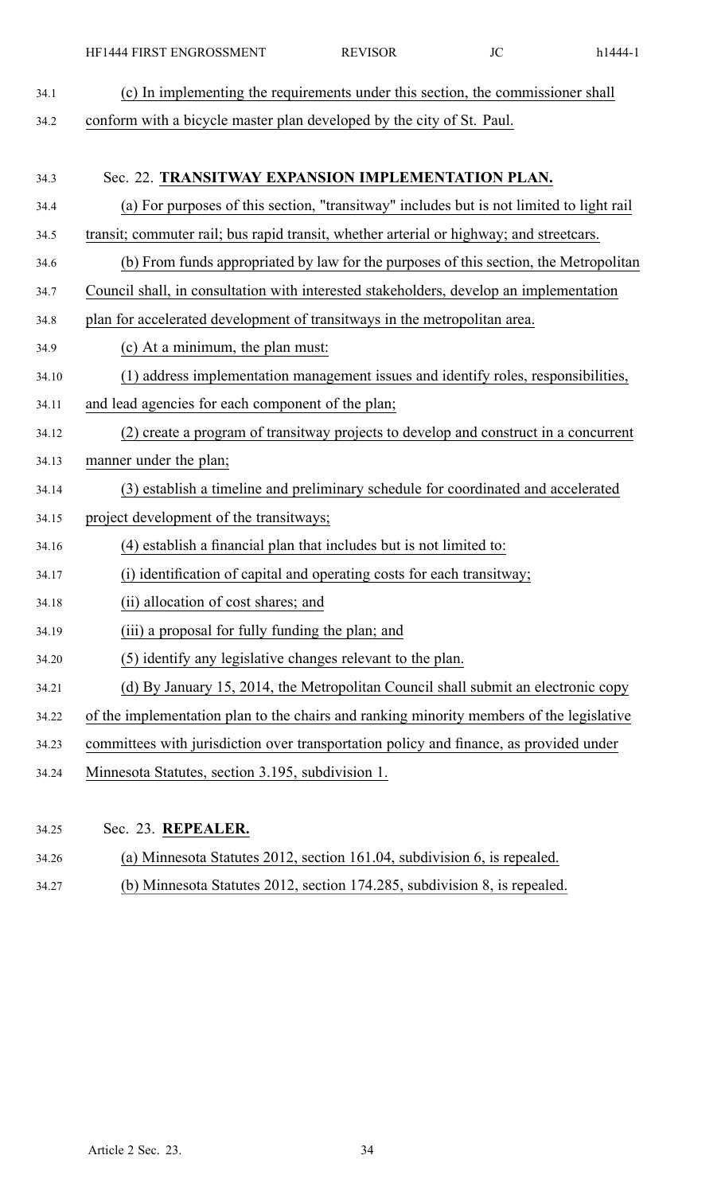- 34.1 (c) In implementing the requirements under this section, the commissioner shall
- 34.2 conform with <sup>a</sup> bicycle master plan developed by the city of St. Paul.

| 34.3  | Sec. 22. TRANSITWAY EXPANSION IMPLEMENTATION PLAN.                                       |
|-------|------------------------------------------------------------------------------------------|
| 34.4  | (a) For purposes of this section, "transitway" includes but is not limited to light rail |
| 34.5  | transit; commuter rail; bus rapid transit, whether arterial or highway; and streetcars.  |
| 34.6  | (b) From funds appropriated by law for the purposes of this section, the Metropolitan    |
| 34.7  | Council shall, in consultation with interested stakeholders, develop an implementation   |
| 34.8  | plan for accelerated development of transitways in the metropolitan area.                |
| 34.9  | (c) At a minimum, the plan must:                                                         |
| 34.10 | (1) address implementation management issues and identify roles, responsibilities,       |
| 34.11 | and lead agencies for each component of the plan;                                        |
| 34.12 | (2) create a program of transitway projects to develop and construct in a concurrent     |
| 34.13 | manner under the plan;                                                                   |
| 34.14 | (3) establish a timeline and preliminary schedule for coordinated and accelerated        |
| 34.15 | project development of the transitways;                                                  |
| 34.16 | (4) establish a financial plan that includes but is not limited to:                      |
| 34.17 | (i) identification of capital and operating costs for each transitway;                   |
| 34.18 | (ii) allocation of cost shares; and                                                      |
| 34.19 | (iii) a proposal for fully funding the plan; and                                         |
| 34.20 | (5) identify any legislative changes relevant to the plan.                               |
| 34.21 | (d) By January 15, 2014, the Metropolitan Council shall submit an electronic copy        |
| 34.22 | of the implementation plan to the chairs and ranking minority members of the legislative |
| 34.23 | committees with jurisdiction over transportation policy and finance, as provided under   |
| 34.24 | Minnesota Statutes, section 3.195, subdivision 1.                                        |
|       |                                                                                          |
| 34.25 | Sec. 23. REPEALER.                                                                       |

- 34.26 (a) Minnesota Statutes 2012, section 161.04, subdivision 6, is repealed.
- 34.27 (b) Minnesota Statutes 2012, section 174.285, subdivision 8, is repealed.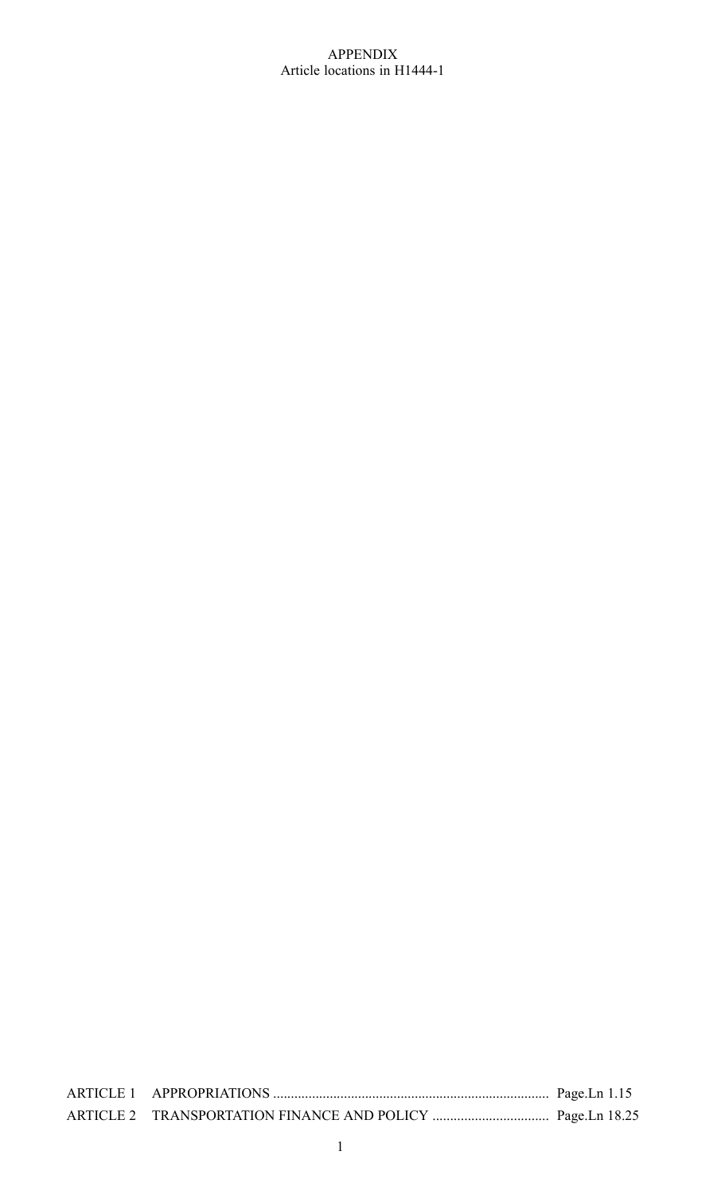## APPENDIX Article locations in H1444-1